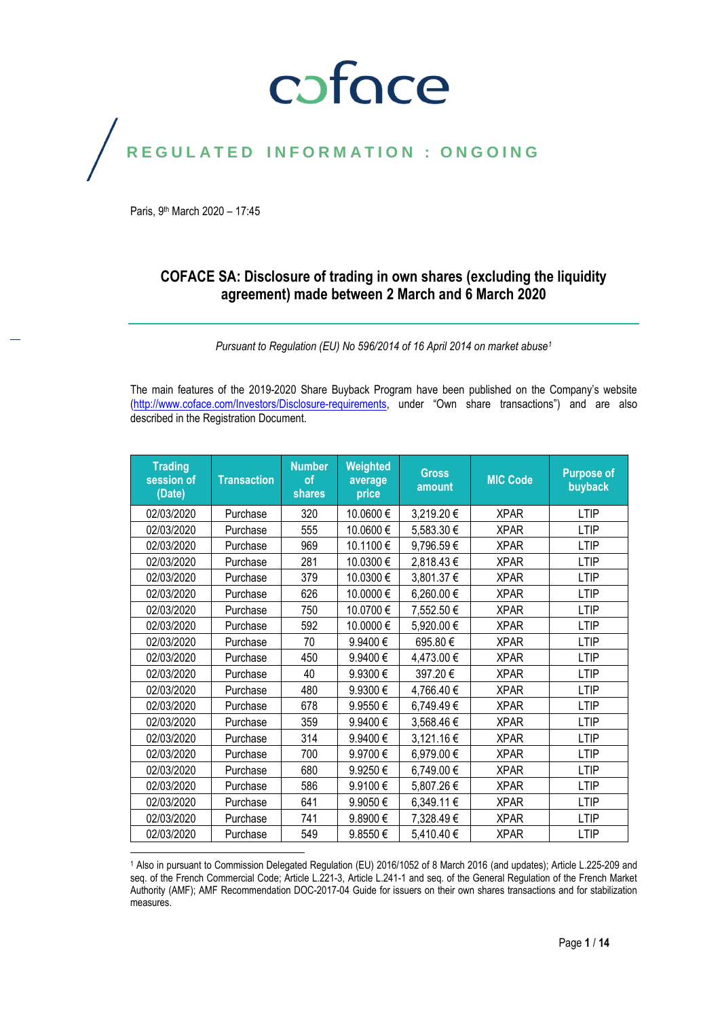### coface

### REGULATED INFORMATION : ONGOING

Paris, 9<sup>th</sup> March 2020 - 17:45

#### **COFACE SA: Disclosure of trading in own shares (excluding the liquidity agreement) made between 2 March and 6 March 2020**

*Pursuant to Regulation (EU) No 596/2014 of 16 April 2014 on market abuse<sup>1</sup>*

The main features of the 2019-2020 Share Buyback Program have been published on the Company's website [\(http://www.coface.com/Investors/Disclosure-requirements](http://www.coface.com/Investors/Disclosure-requirements), under "Own share transactions") and are also described in the Registration Document.

| <b>Trading</b><br>session of<br>(Date) | <b>Transaction</b> | <b>Number</b><br><b>of</b><br><b>shares</b> | Weighted<br>average<br>price | <b>Gross</b><br>amount | <b>MIC Code</b> | <b>Purpose of</b><br>buyback |
|----------------------------------------|--------------------|---------------------------------------------|------------------------------|------------------------|-----------------|------------------------------|
| 02/03/2020                             | Purchase           | 320                                         | 10.0600€                     | 3,219.20 €             | <b>XPAR</b>     | <b>LTIP</b>                  |
| 02/03/2020                             | Purchase           | 555                                         | 10.0600€                     | 5,583.30 €             | <b>XPAR</b>     | <b>LTIP</b>                  |
| 02/03/2020                             | Purchase           | 969                                         | 10.1100€                     | 9,796.59€              | <b>XPAR</b>     | <b>LTIP</b>                  |
| 02/03/2020                             | Purchase           | 281                                         | 10.0300€                     | 2,818.43€              | <b>XPAR</b>     | <b>LTIP</b>                  |
| 02/03/2020                             | Purchase           | 379                                         | 10.0300€                     | 3,801.37 €             | <b>XPAR</b>     | <b>LTIP</b>                  |
| 02/03/2020                             | Purchase           | 626                                         | 10.0000€                     | 6,260.00€              | <b>XPAR</b>     | <b>LTIP</b>                  |
| 02/03/2020                             | Purchase           | 750                                         | 10.0700€                     | 7,552.50 €             | <b>XPAR</b>     | <b>LTIP</b>                  |
| 02/03/2020                             | Purchase           | 592                                         | 10.0000€                     | 5,920.00 €             | <b>XPAR</b>     | <b>LTIP</b>                  |
| 02/03/2020                             | Purchase           | 70                                          | 9.9400€                      | 695.80€                | <b>XPAR</b>     | <b>LTIP</b>                  |
| 02/03/2020                             | Purchase           | 450                                         | 9.9400€                      | 4,473.00 €             | <b>XPAR</b>     | <b>LTIP</b>                  |
| 02/03/2020                             | Purchase           | 40                                          | 9.9300€                      | 397.20€                | <b>XPAR</b>     | <b>LTIP</b>                  |
| 02/03/2020                             | Purchase           | 480                                         | 9.9300€                      | 4,766.40 €             | <b>XPAR</b>     | <b>LTIP</b>                  |
| 02/03/2020                             | Purchase           | 678                                         | 9.9550€                      | 6,749.49€              | <b>XPAR</b>     | <b>LTIP</b>                  |
| 02/03/2020                             | Purchase           | 359                                         | 9.9400€                      | 3,568.46€              | <b>XPAR</b>     | <b>LTIP</b>                  |
| 02/03/2020                             | Purchase           | 314                                         | 9.9400€                      | 3,121.16€              | <b>XPAR</b>     | <b>LTIP</b>                  |
| 02/03/2020                             | Purchase           | 700                                         | 9.9700€                      | 6,979.00 €             | <b>XPAR</b>     | <b>LTIP</b>                  |
| 02/03/2020                             | Purchase           | 680                                         | 9.9250€                      | 6,749.00 €             | <b>XPAR</b>     | <b>LTIP</b>                  |
| 02/03/2020                             | Purchase           | 586                                         | 9.9100€                      | 5,807.26€              | <b>XPAR</b>     | <b>LTIP</b>                  |
| 02/03/2020                             | Purchase           | 641                                         | 9.9050€                      | 6,349.11 €             | <b>XPAR</b>     | <b>LTIP</b>                  |
| 02/03/2020                             | Purchase           | 741                                         | 9.8900€                      | 7,328.49€              | <b>XPAR</b>     | <b>LTIP</b>                  |
| 02/03/2020                             | Purchase           | 549                                         | 9.8550€                      | 5,410.40 €             | <b>XPAR</b>     | <b>LTIP</b>                  |

 $\overline{a}$ <sup>1</sup> Also in pursuant to Commission Delegated Regulation (EU) 2016/1052 of 8 March 2016 (and updates); Article L.225-209 and seq. of the French Commercial Code; Article L.221-3, Article L.241-1 and seq. of the General Regulation of the French Market Authority (AMF); AMF Recommendation DOC-2017-04 Guide for issuers on their own shares transactions and for stabilization measures.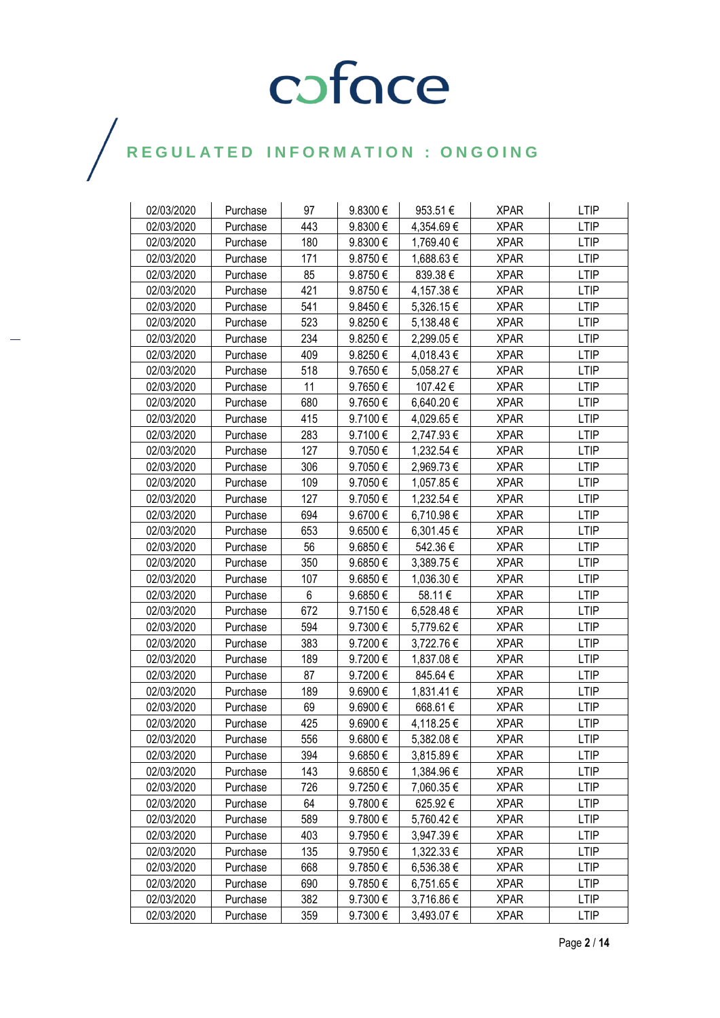| 02/03/2020 | Purchase | 97  | 9.8300€ | 953.51€    | <b>XPAR</b> | <b>LTIP</b> |
|------------|----------|-----|---------|------------|-------------|-------------|
| 02/03/2020 | Purchase | 443 | 9.8300€ | 4,354.69 € | <b>XPAR</b> | <b>LTIP</b> |
| 02/03/2020 | Purchase | 180 | 9.8300€ | 1,769.40 € | <b>XPAR</b> | <b>LTIP</b> |
| 02/03/2020 | Purchase | 171 | 9.8750€ | 1,688.63 € | <b>XPAR</b> | <b>LTIP</b> |
| 02/03/2020 | Purchase | 85  | 9.8750€ | 839.38€    | <b>XPAR</b> | <b>LTIP</b> |
| 02/03/2020 | Purchase | 421 | 9.8750€ | 4,157.38 € | <b>XPAR</b> | <b>LTIP</b> |
| 02/03/2020 | Purchase | 541 | 9.8450€ | 5,326.15 € | <b>XPAR</b> | LTIP        |
| 02/03/2020 | Purchase | 523 | 9.8250€ | 5,138.48 € | <b>XPAR</b> | <b>LTIP</b> |
| 02/03/2020 | Purchase | 234 | 9.8250€ | 2,299.05 € | <b>XPAR</b> | <b>LTIP</b> |
| 02/03/2020 | Purchase | 409 | 9.8250€ | 4,018.43€  | <b>XPAR</b> | <b>LTIP</b> |
| 02/03/2020 | Purchase | 518 | 9.7650€ | 5,058.27 € | <b>XPAR</b> | <b>LTIP</b> |
| 02/03/2020 | Purchase | 11  | 9.7650€ | 107.42€    | <b>XPAR</b> | <b>LTIP</b> |
| 02/03/2020 | Purchase | 680 | 9.7650€ | 6,640.20 € | <b>XPAR</b> | <b>LTIP</b> |
| 02/03/2020 | Purchase | 415 | 9.7100€ | 4,029.65 € | <b>XPAR</b> | <b>LTIP</b> |
| 02/03/2020 | Purchase | 283 | 9.7100€ | 2,747.93 € | <b>XPAR</b> | <b>LTIP</b> |
| 02/03/2020 | Purchase | 127 | 9.7050€ | 1,232.54 € | <b>XPAR</b> | <b>LTIP</b> |
| 02/03/2020 | Purchase | 306 | 9.7050€ | 2,969.73€  | <b>XPAR</b> | <b>LTIP</b> |
| 02/03/2020 | Purchase | 109 | 9.7050€ | 1,057.85 € | <b>XPAR</b> | <b>LTIP</b> |
| 02/03/2020 | Purchase | 127 | 9.7050€ | 1,232.54 € | <b>XPAR</b> | <b>LTIP</b> |
| 02/03/2020 | Purchase | 694 | 9.6700€ | 6,710.98 € | <b>XPAR</b> | <b>LTIP</b> |
| 02/03/2020 | Purchase | 653 | 9.6500€ | 6,301.45 € | <b>XPAR</b> | <b>LTIP</b> |
| 02/03/2020 | Purchase | 56  | 9.6850€ | 542.36€    | <b>XPAR</b> | <b>LTIP</b> |
| 02/03/2020 | Purchase | 350 | 9.6850€ | 3,389.75 € | <b>XPAR</b> | <b>LTIP</b> |
| 02/03/2020 | Purchase | 107 | 9.6850€ | 1,036.30 € | <b>XPAR</b> | <b>LTIP</b> |
| 02/03/2020 | Purchase | 6   | 9.6850€ | 58.11€     | <b>XPAR</b> | <b>LTIP</b> |
| 02/03/2020 | Purchase | 672 | 9.7150€ | 6,528.48 € | <b>XPAR</b> | <b>LTIP</b> |
| 02/03/2020 | Purchase | 594 | 9.7300€ | 5,779.62 € | <b>XPAR</b> | <b>LTIP</b> |
| 02/03/2020 | Purchase | 383 | 9.7200€ | 3,722.76 € | <b>XPAR</b> | <b>LTIP</b> |
| 02/03/2020 | Purchase | 189 | 9.7200€ | 1,837.08 € | <b>XPAR</b> | <b>LTIP</b> |
| 02/03/2020 | Purchase | 87  | 9.7200€ | 845.64€    | <b>XPAR</b> | <b>LTIP</b> |
| 02/03/2020 | Purchase | 189 | 9.6900€ | 1,831.41 € | <b>XPAR</b> | LTIP        |
| 02/03/2020 | Purchase | 69  | 9.6900€ | 668.61€    | <b>XPAR</b> | <b>LTIP</b> |
| 02/03/2020 | Purchase | 425 | 9.6900€ | 4,118.25 € | <b>XPAR</b> | <b>LTIP</b> |
| 02/03/2020 | Purchase | 556 | 9.6800€ | 5,382.08€  | <b>XPAR</b> | <b>LTIP</b> |
| 02/03/2020 | Purchase | 394 | 9.6850€ | 3,815.89 € | <b>XPAR</b> | <b>LTIP</b> |
| 02/03/2020 | Purchase | 143 | 9.6850€ | 1,384.96 € | <b>XPAR</b> | LTIP        |
| 02/03/2020 | Purchase | 726 | 9.7250€ | 7,060.35 € | <b>XPAR</b> | <b>LTIP</b> |
| 02/03/2020 | Purchase | 64  | 9.7800€ | 625.92€    | <b>XPAR</b> | LTIP        |
| 02/03/2020 | Purchase | 589 | 9.7800€ | 5,760.42 € | <b>XPAR</b> | <b>LTIP</b> |
| 02/03/2020 | Purchase | 403 | 9.7950€ | 3,947.39 € | <b>XPAR</b> | LTIP        |
| 02/03/2020 | Purchase | 135 | 9.7950€ | 1,322.33 € | <b>XPAR</b> | LTIP        |
| 02/03/2020 | Purchase | 668 | 9.7850€ | 6,536.38 € | <b>XPAR</b> | <b>LTIP</b> |
| 02/03/2020 | Purchase | 690 | 9.7850€ | 6,751.65€  | <b>XPAR</b> | <b>LTIP</b> |
| 02/03/2020 | Purchase | 382 | 9.7300€ | 3,716.86 € | <b>XPAR</b> | <b>LTIP</b> |
| 02/03/2020 | Purchase | 359 | 9.7300€ | 3,493.07 € | <b>XPAR</b> | <b>LTIP</b> |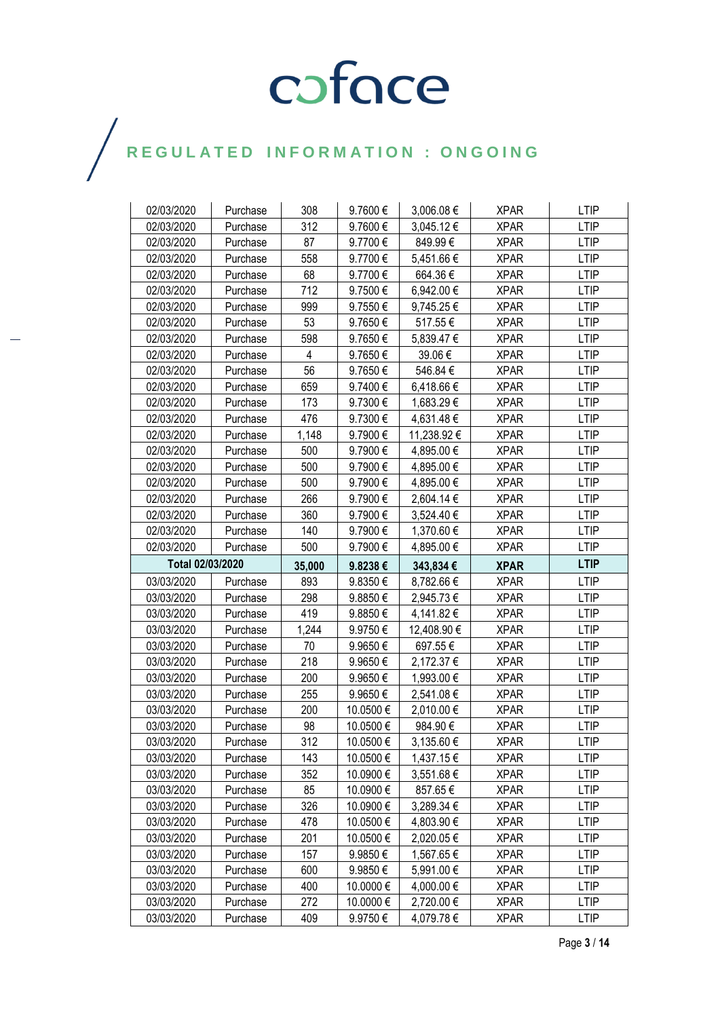| 02/03/2020               | Purchase             | 308        | 9.7600€              | 3,006.08 €               | <b>XPAR</b>                | <b>LTIP</b>                |
|--------------------------|----------------------|------------|----------------------|--------------------------|----------------------------|----------------------------|
| 02/03/2020               | Purchase             | 312        | 9.7600€              | 3,045.12 €               | <b>XPAR</b>                | LTIP                       |
| 02/03/2020               | Purchase             | 87         | 9.7700€              | 849.99€                  | <b>XPAR</b>                | <b>LTIP</b>                |
| 02/03/2020               | Purchase             | 558        | 9.7700€              | 5,451.66 €               | <b>XPAR</b>                | <b>LTIP</b>                |
| 02/03/2020               | Purchase             | 68         | 9.7700€              | 664.36€                  | <b>XPAR</b>                | <b>LTIP</b>                |
| 02/03/2020               | Purchase             | 712        | 9.7500€              | 6,942.00 €               | <b>XPAR</b>                | <b>LTIP</b>                |
| 02/03/2020               | Purchase             | 999        | 9.7550€              | 9,745.25 €               | <b>XPAR</b>                | <b>LTIP</b>                |
| 02/03/2020               | Purchase             | 53         | 9.7650€              | 517.55€                  | <b>XPAR</b>                | <b>LTIP</b>                |
| 02/03/2020               | Purchase             | 598        | 9.7650€              | 5,839.47 €               | <b>XPAR</b>                | <b>LTIP</b>                |
| 02/03/2020               | Purchase             | 4          | 9.7650€              | 39.06€                   | <b>XPAR</b>                | <b>LTIP</b>                |
| 02/03/2020               | Purchase             | 56         | 9.7650€              | 546.84€                  | <b>XPAR</b>                | <b>LTIP</b>                |
| 02/03/2020               | Purchase             | 659        | 9.7400€              | 6,418.66 €               | <b>XPAR</b>                | <b>LTIP</b>                |
| 02/03/2020               | Purchase             | 173        | 9.7300€              | 1,683.29 €               | <b>XPAR</b>                | <b>LTIP</b>                |
| 02/03/2020               | Purchase             | 476        | 9.7300€              | 4,631.48 €               | <b>XPAR</b>                | <b>LTIP</b>                |
| 02/03/2020               | Purchase             | 1,148      | 9.7900€              | 11,238.92 €              | <b>XPAR</b>                | <b>LTIP</b>                |
| 02/03/2020               | Purchase             | 500        | 9.7900€              | 4,895.00 €               | <b>XPAR</b>                | <b>LTIP</b>                |
| 02/03/2020               | Purchase             | 500        | 9.7900€              | 4,895.00 €               | <b>XPAR</b>                | <b>LTIP</b>                |
| 02/03/2020               | Purchase             | 500        | 9.7900€              | 4,895.00 €               | <b>XPAR</b>                | <b>LTIP</b>                |
| 02/03/2020               | Purchase             | 266        | 9.7900€              | 2,604.14 €               | <b>XPAR</b>                | <b>LTIP</b>                |
| 02/03/2020               | Purchase             | 360        | 9.7900€              | 3,524.40 €               | <b>XPAR</b>                | <b>LTIP</b>                |
| 02/03/2020               | Purchase             | 140        | 9.7900€              | 1,370.60 €               | <b>XPAR</b>                | <b>LTIP</b>                |
| 02/03/2020               | Purchase             | 500        | 9.7900€              | 4,895.00 €               | <b>XPAR</b>                | <b>LTIP</b>                |
| Total 02/03/2020         |                      |            |                      |                          |                            |                            |
|                          |                      | 35,000     | 9.8238€              | 343,834€                 | <b>XPAR</b>                | <b>LTIP</b>                |
| 03/03/2020               | Purchase             | 893        | 9.8350€              | 8,782.66 €               | <b>XPAR</b>                | <b>LTIP</b>                |
| 03/03/2020               | Purchase             | 298        | 9.8850€              | 2,945.73 €               | <b>XPAR</b>                | <b>LTIP</b>                |
| 03/03/2020               | Purchase             | 419        | 9.8850€              | 4,141.82 €               | <b>XPAR</b>                | <b>LTIP</b>                |
| 03/03/2020               | Purchase             | 1,244      | 9.9750€              | 12,408.90 €              | <b>XPAR</b>                | <b>LTIP</b>                |
| 03/03/2020               | Purchase             | 70         | 9.9650€              | 697.55€                  | <b>XPAR</b>                | <b>LTIP</b>                |
| 03/03/2020               | Purchase             | 218        | 9.9650€              | 2,172.37 €               | <b>XPAR</b>                | <b>LTIP</b>                |
| 03/03/2020               | Purchase             | 200        | 9.9650€              | 1,993.00 €               | <b>XPAR</b>                | <b>LTIP</b>                |
| 03/03/2020               | Purchase             | 255        | 9.9650€              | 2,541.08 €               | <b>XPAR</b>                | <b>LTIP</b>                |
| 03/03/2020               | Purchase             | 200        | 10.0500€             | 2,010.00 €               | <b>XPAR</b>                | <b>LTIP</b>                |
| 03/03/2020               | Purchase             | 98         | 10.0500 €            | 984.90€                  | <b>XPAR</b>                | <b>LTIP</b>                |
| 03/03/2020               | Purchase             | 312        | 10.0500€             | 3,135.60 €               | <b>XPAR</b>                | <b>LTIP</b>                |
| 03/03/2020               | Purchase             | 143        | 10.0500 €            | 1,437.15 €               | <b>XPAR</b>                | <b>LTIP</b>                |
| 03/03/2020               | Purchase             | 352        | 10.0900 €            | 3,551.68 €               | <b>XPAR</b>                | <b>LTIP</b>                |
| 03/03/2020               | Purchase             | 85         | 10.0900 €            | 857.65€                  | <b>XPAR</b>                | <b>LTIP</b>                |
| 03/03/2020               | Purchase             | 326        | 10.0900 €            | 3,289.34 €               | <b>XPAR</b>                | <b>LTIP</b>                |
| 03/03/2020               | Purchase             | 478        | 10.0500 €            | 4,803.90 €               | <b>XPAR</b>                | <b>LTIP</b>                |
| 03/03/2020               | Purchase             | 201        | 10.0500€             | 2,020.05€                | <b>XPAR</b>                | <b>LTIP</b>                |
| 03/03/2020               | Purchase             | 157        | 9.9850€              | 1,567.65 €               | <b>XPAR</b>                | <b>LTIP</b>                |
| 03/03/2020               | Purchase             | 600        | 9.9850€              | 5,991.00 €               | <b>XPAR</b>                | <b>LTIP</b>                |
| 03/03/2020               | Purchase             | 400        | 10.0000 €            | 4,000.00 €               | <b>XPAR</b>                | LTIP                       |
| 03/03/2020<br>03/03/2020 | Purchase<br>Purchase | 272<br>409 | 10.0000 €<br>9.9750€ | 2,720.00 €<br>4,079.78 € | <b>XPAR</b><br><b>XPAR</b> | <b>LTIP</b><br><b>LTIP</b> |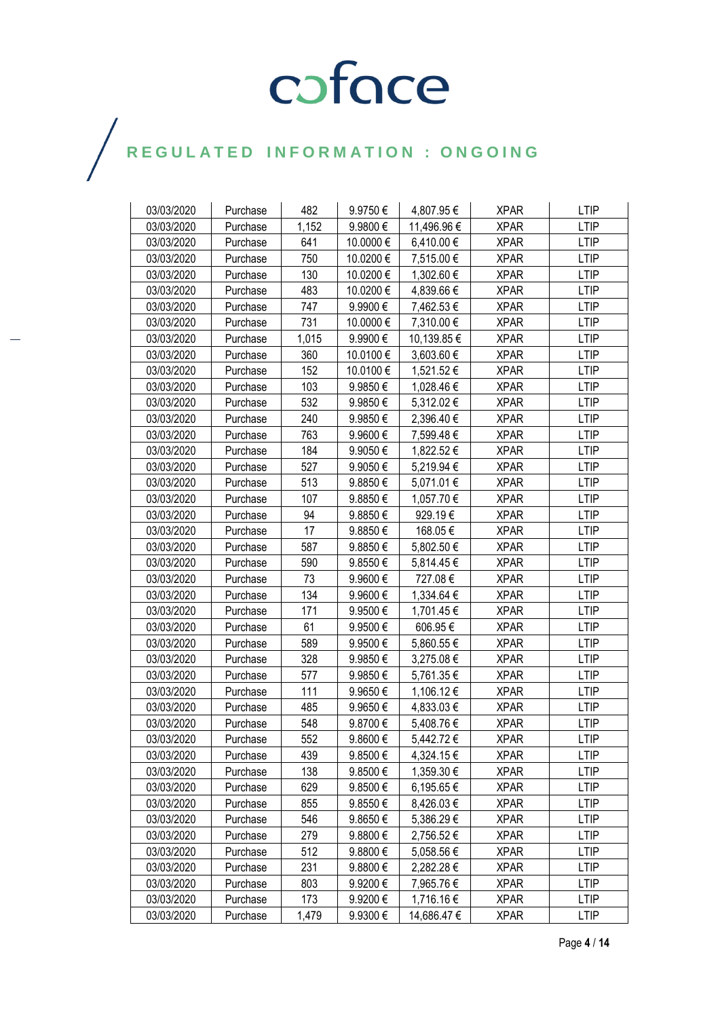| 03/03/2020 | Purchase | 482   | 9.9750€      | 4,807.95€   | <b>XPAR</b> | <b>LTIP</b> |
|------------|----------|-------|--------------|-------------|-------------|-------------|
| 03/03/2020 | Purchase | 1,152 | 9.9800€      | 11,496.96 € | <b>XPAR</b> | <b>LTIP</b> |
| 03/03/2020 | Purchase | 641   | 10.0000 €    | 6,410.00 €  | <b>XPAR</b> | <b>LTIP</b> |
| 03/03/2020 | Purchase | 750   | 10.0200 €    | 7,515.00 €  | <b>XPAR</b> | <b>LTIP</b> |
| 03/03/2020 | Purchase | 130   | 10.0200€     | 1,302.60 €  | <b>XPAR</b> | <b>LTIP</b> |
| 03/03/2020 | Purchase | 483   | 10.0200€     | 4,839.66 €  | <b>XPAR</b> | <b>LTIP</b> |
| 03/03/2020 | Purchase | 747   | 9.9900€      | 7,462.53 €  | <b>XPAR</b> | <b>LTIP</b> |
| 03/03/2020 | Purchase | 731   | 10.0000 €    | 7,310.00 €  | <b>XPAR</b> | <b>LTIP</b> |
| 03/03/2020 | Purchase | 1,015 | 9.9900€      | 10,139.85 € | <b>XPAR</b> | <b>LTIP</b> |
| 03/03/2020 | Purchase | 360   | 10.0100€     | 3,603.60 €  | <b>XPAR</b> | <b>LTIP</b> |
| 03/03/2020 | Purchase | 152   | 10.0100€     | 1,521.52€   | <b>XPAR</b> | <b>LTIP</b> |
| 03/03/2020 | Purchase | 103   | 9.9850€      | 1,028.46 €  | <b>XPAR</b> | <b>LTIP</b> |
| 03/03/2020 | Purchase | 532   | 9.9850€      | 5,312.02 €  | <b>XPAR</b> | <b>LTIP</b> |
| 03/03/2020 | Purchase | 240   | 9.9850€      | 2,396.40 €  | <b>XPAR</b> | <b>LTIP</b> |
| 03/03/2020 | Purchase | 763   | 9.9600€      | 7,599.48 €  | <b>XPAR</b> | <b>LTIP</b> |
| 03/03/2020 | Purchase | 184   | 9.9050€      | 1,822.52 €  | <b>XPAR</b> | <b>LTIP</b> |
| 03/03/2020 | Purchase | 527   | 9.9050€      | 5,219.94 €  | <b>XPAR</b> | <b>LTIP</b> |
| 03/03/2020 | Purchase | 513   | 9.8850€      | 5,071.01 €  | <b>XPAR</b> | <b>LTIP</b> |
| 03/03/2020 | Purchase | 107   | 9.8850€      | 1,057.70 €  | <b>XPAR</b> | <b>LTIP</b> |
| 03/03/2020 | Purchase | 94    | 9.8850€      | 929.19€     | <b>XPAR</b> | <b>LTIP</b> |
| 03/03/2020 | Purchase | 17    | 9.8850€      | 168.05€     | <b>XPAR</b> | <b>LTIP</b> |
| 03/03/2020 | Purchase | 587   | 9.8850€      | 5,802.50 €  | <b>XPAR</b> | <b>LTIP</b> |
| 03/03/2020 | Purchase | 590   | 9.8550€      | 5,814.45 €  | <b>XPAR</b> | <b>LTIP</b> |
| 03/03/2020 | Purchase | 73    | 9.9600€      | 727.08€     | <b>XPAR</b> | <b>LTIP</b> |
| 03/03/2020 | Purchase | 134   | 9.9600€      | 1,334.64 €  | <b>XPAR</b> | <b>LTIP</b> |
| 03/03/2020 | Purchase | 171   | 9.9500€      | 1,701.45 €  | <b>XPAR</b> | <b>LTIP</b> |
| 03/03/2020 | Purchase | 61    | 9.9500€      | 606.95€     | <b>XPAR</b> | <b>LTIP</b> |
| 03/03/2020 | Purchase | 589   | 9.9500€      | 5,860.55 €  | <b>XPAR</b> | <b>LTIP</b> |
| 03/03/2020 | Purchase | 328   | 9.9850€      | 3,275.08 €  | <b>XPAR</b> | <b>LTIP</b> |
| 03/03/2020 | Purchase | 577   | 9.9850€      | 5,761.35 €  | <b>XPAR</b> | <b>LTIP</b> |
| 03/03/2020 | Purchase | 111   | 9.9650€      | 1,106.12€   | <b>XPAR</b> | LTIP        |
| 03/03/2020 | Purchase | 485   | 9.9650€      | 4,833.03 €  | <b>XPAR</b> | <b>LTIP</b> |
| 03/03/2020 | Purchase | 548   | 9.8700€      | 5,408.76 €  | <b>XPAR</b> | <b>LTIP</b> |
| 03/03/2020 | Purchase | 552   | 9.8600€      | 5,442.72€   | <b>XPAR</b> | <b>LTIP</b> |
| 03/03/2020 | Purchase | 439   | 9.8500€      | 4,324.15 €  | <b>XPAR</b> | <b>LTIP</b> |
| 03/03/2020 | Purchase | 138   | 9.8500€      | 1,359.30 €  | <b>XPAR</b> | LTIP        |
| 03/03/2020 | Purchase | 629   | 9.8500€      | 6,195.65 €  | <b>XPAR</b> | <b>LTIP</b> |
| 03/03/2020 | Purchase | 855   | 9.8550€      | 8,426.03 €  | <b>XPAR</b> | <b>LTIP</b> |
| 03/03/2020 | Purchase | 546   | 9.8650€      | 5,386.29€   | <b>XPAR</b> | <b>LTIP</b> |
| 03/03/2020 | Purchase | 279   | 9.8800€      | 2,756.52 €  | <b>XPAR</b> | <b>LTIP</b> |
| 03/03/2020 | Purchase | 512   | 9.8800€      | 5,058.56 €  | <b>XPAR</b> | LTIP        |
| 03/03/2020 | Purchase | 231   | 9.8800€      | 2,282.28€   | <b>XPAR</b> | <b>LTIP</b> |
| 03/03/2020 | Purchase | 803   | 9.9200€      | 7,965.76 €  | <b>XPAR</b> | <b>LTIP</b> |
| 03/03/2020 | Purchase | 173   | 9.9200€      | 1,716.16 €  | <b>XPAR</b> | <b>LTIP</b> |
| 03/03/2020 | Purchase | 1,479 | $9.9300 \in$ | 14,686.47 € | <b>XPAR</b> | LTIP        |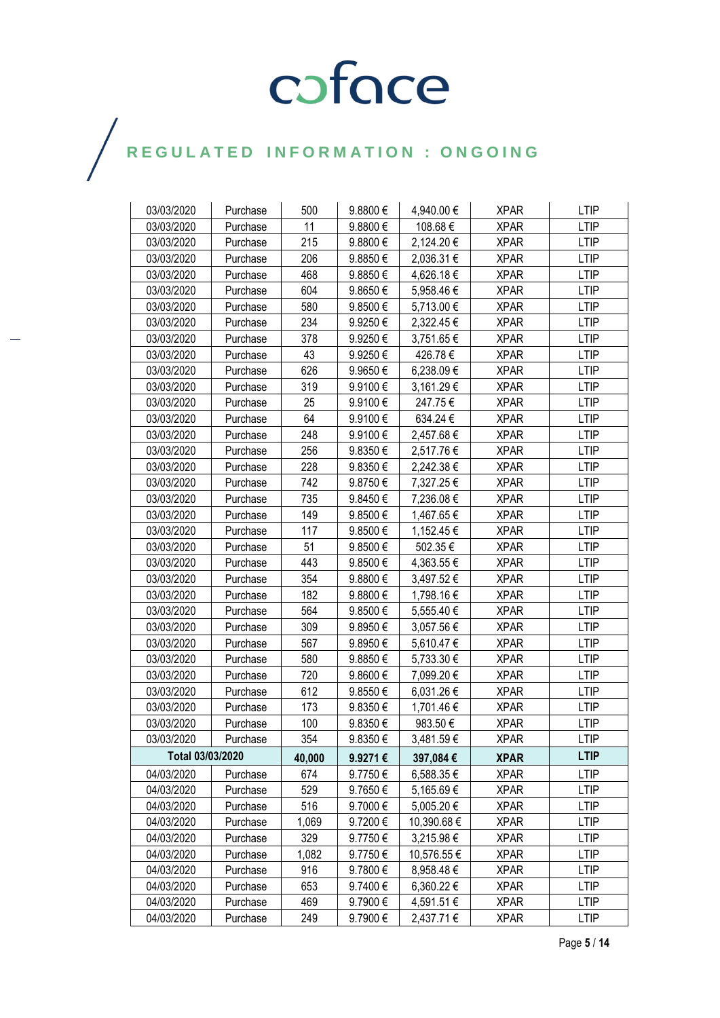| 03/03/2020       | Purchase | 500    | 9.8800€      | 4,940.00 €  | <b>XPAR</b> | <b>LTIP</b> |
|------------------|----------|--------|--------------|-------------|-------------|-------------|
| 03/03/2020       | Purchase | 11     | 9.8800€      | 108.68€     | <b>XPAR</b> | <b>LTIP</b> |
| 03/03/2020       | Purchase | 215    | $9.8800 \in$ | 2,124.20 €  | <b>XPAR</b> | LTIP        |
| 03/03/2020       | Purchase | 206    | 9.8850€      | 2,036.31 €  | <b>XPAR</b> | <b>LTIP</b> |
| 03/03/2020       | Purchase | 468    | 9.8850€      | 4,626.18€   | <b>XPAR</b> | <b>LTIP</b> |
| 03/03/2020       | Purchase | 604    | 9.8650€      | 5,958.46 €  | <b>XPAR</b> | <b>LTIP</b> |
| 03/03/2020       | Purchase | 580    | 9.8500€      | 5,713.00 €  | <b>XPAR</b> | <b>LTIP</b> |
| 03/03/2020       | Purchase | 234    | 9.9250€      | 2,322.45 €  | <b>XPAR</b> | <b>LTIP</b> |
| 03/03/2020       | Purchase | 378    | 9.9250€      | 3,751.65 €  | <b>XPAR</b> | <b>LTIP</b> |
| 03/03/2020       | Purchase | 43     | 9.9250€      | 426.78€     | <b>XPAR</b> | <b>LTIP</b> |
| 03/03/2020       | Purchase | 626    | 9.9650€      | 6,238.09€   | <b>XPAR</b> | <b>LTIP</b> |
| 03/03/2020       | Purchase | 319    | 9.9100€      | 3,161.29 €  | <b>XPAR</b> | <b>LTIP</b> |
| 03/03/2020       | Purchase | 25     | 9.9100€      | 247.75€     | <b>XPAR</b> | <b>LTIP</b> |
| 03/03/2020       | Purchase | 64     | 9.9100€      | 634.24 €    | <b>XPAR</b> | <b>LTIP</b> |
| 03/03/2020       | Purchase | 248    | 9.9100€      | 2,457.68 €  | <b>XPAR</b> | <b>LTIP</b> |
| 03/03/2020       | Purchase | 256    | 9.8350 $\in$ | 2,517.76€   | <b>XPAR</b> | <b>LTIP</b> |
| 03/03/2020       | Purchase | 228    | 9.8350€      | 2,242.38 €  | <b>XPAR</b> | <b>LTIP</b> |
| 03/03/2020       | Purchase | 742    | 9.8750€      | 7,327.25 €  | <b>XPAR</b> | <b>LTIP</b> |
| 03/03/2020       | Purchase | 735    | 9.8450€      | 7,236.08€   | <b>XPAR</b> | <b>LTIP</b> |
| 03/03/2020       | Purchase | 149    | 9.8500€      | 1,467.65 €  | <b>XPAR</b> | <b>LTIP</b> |
| 03/03/2020       | Purchase | 117    | 9.8500€      | 1,152.45 €  | <b>XPAR</b> | <b>LTIP</b> |
| 03/03/2020       | Purchase | 51     | 9.8500€      | 502.35€     | <b>XPAR</b> | <b>LTIP</b> |
| 03/03/2020       | Purchase | 443    | 9.8500€      | 4,363.55 €  | <b>XPAR</b> | <b>LTIP</b> |
| 03/03/2020       | Purchase | 354    | 9.8800€      | 3,497.52 €  | <b>XPAR</b> | <b>LTIP</b> |
| 03/03/2020       | Purchase | 182    | 9.8800€      | 1,798.16 €  | <b>XPAR</b> | <b>LTIP</b> |
| 03/03/2020       | Purchase | 564    | 9.8500€      | 5,555.40 €  | <b>XPAR</b> | <b>LTIP</b> |
| 03/03/2020       | Purchase | 309    | 9.8950€      | 3,057.56 €  | <b>XPAR</b> | <b>LTIP</b> |
| 03/03/2020       | Purchase | 567    | 9.8950€      | 5,610.47 €  | <b>XPAR</b> | <b>LTIP</b> |
| 03/03/2020       | Purchase | 580    | 9.8850€      | 5,733.30 €  | <b>XPAR</b> | <b>LTIP</b> |
| 03/03/2020       | Purchase | 720    | 9.8600€      | 7,099.20 €  | <b>XPAR</b> | <b>LTIP</b> |
| 03/03/2020       | Purchase | 612    | 9.8550€      | 6,031.26€   | <b>XPAR</b> | LTIP        |
| 03/03/2020       | Purchase | 173    | 9.8350€      | 1,701.46 €  | <b>XPAR</b> | <b>LTIP</b> |
| 03/03/2020       | Purchase | 100    | 9.8350€      | 983.50€     | <b>XPAR</b> | <b>LTIP</b> |
| 03/03/2020       | Purchase | 354    | 9.8350€      | 3,481.59€   | <b>XPAR</b> | <b>LTIP</b> |
| Total 03/03/2020 |          | 40,000 | 9.9271€      | 397,084€    | <b>XPAR</b> | <b>LTIP</b> |
| 04/03/2020       | Purchase | 674    | 9.7750€      | 6,588.35 €  | <b>XPAR</b> | <b>LTIP</b> |
| 04/03/2020       | Purchase | 529    | 9.7650€      | 5,165.69€   | <b>XPAR</b> | <b>LTIP</b> |
| 04/03/2020       | Purchase | 516    | 9.7000€      | 5,005.20 €  | <b>XPAR</b> | <b>LTIP</b> |
| 04/03/2020       | Purchase | 1,069  | 9.7200€      | 10,390.68 € | <b>XPAR</b> | <b>LTIP</b> |
| 04/03/2020       | Purchase | 329    | 9.7750€      | 3,215.98 €  | <b>XPAR</b> | <b>LTIP</b> |
| 04/03/2020       | Purchase | 1,082  | 9.7750€      | 10,576.55 € | <b>XPAR</b> | <b>LTIP</b> |
| 04/03/2020       | Purchase | 916    | 9.7800€      | 8,958.48€   | <b>XPAR</b> | <b>LTIP</b> |
| 04/03/2020       | Purchase | 653    | 9.7400€      | 6,360.22 €  | <b>XPAR</b> | LTIP        |
| 04/03/2020       | Purchase | 469    | 9.7900€      | 4,591.51 €  | <b>XPAR</b> | <b>LTIP</b> |
| 04/03/2020       | Purchase | 249    | 9.7900€      | 2,437.71 €  | <b>XPAR</b> | <b>LTIP</b> |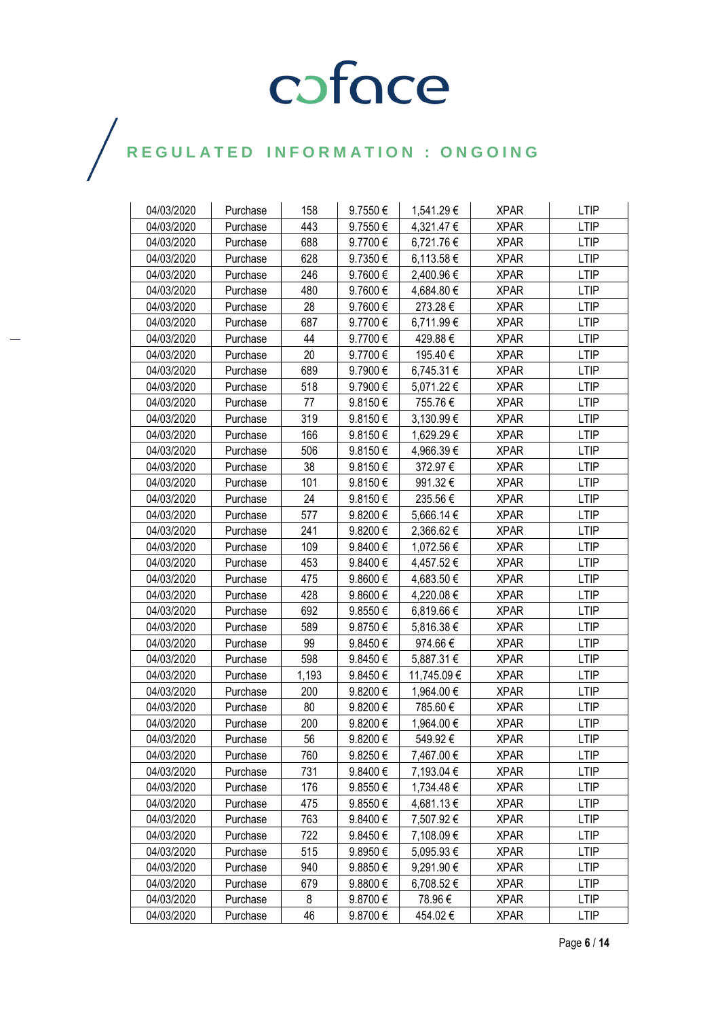| 04/03/2020 | Purchase | 158   | 9.7550€ | 1,541.29 €  | <b>XPAR</b> | <b>LTIP</b> |
|------------|----------|-------|---------|-------------|-------------|-------------|
| 04/03/2020 | Purchase | 443   | 9.7550€ | 4,321.47 €  | <b>XPAR</b> | <b>LTIP</b> |
| 04/03/2020 | Purchase | 688   | 9.7700€ | 6,721.76 €  | <b>XPAR</b> | <b>LTIP</b> |
| 04/03/2020 | Purchase | 628   | 9.7350€ | 6,113.58 €  | <b>XPAR</b> | <b>LTIP</b> |
| 04/03/2020 | Purchase | 246   | 9.7600€ | 2,400.96 €  | <b>XPAR</b> | <b>LTIP</b> |
| 04/03/2020 | Purchase | 480   | 9.7600€ | 4,684.80 €  | <b>XPAR</b> | <b>LTIP</b> |
| 04/03/2020 | Purchase | 28    | 9.7600€ | 273.28€     | <b>XPAR</b> | <b>LTIP</b> |
| 04/03/2020 | Purchase | 687   | 9.7700€ | 6,711.99€   | <b>XPAR</b> | <b>LTIP</b> |
| 04/03/2020 | Purchase | 44    | 9.7700€ | 429.88€     | <b>XPAR</b> | <b>LTIP</b> |
| 04/03/2020 | Purchase | 20    | 9.7700€ | 195.40€     | <b>XPAR</b> | <b>LTIP</b> |
| 04/03/2020 | Purchase | 689   | 9.7900€ | 6,745.31 €  | <b>XPAR</b> | <b>LTIP</b> |
| 04/03/2020 | Purchase | 518   | 9.7900€ | 5,071.22 €  | <b>XPAR</b> | <b>LTIP</b> |
| 04/03/2020 | Purchase | 77    | 9.8150€ | 755.76€     | <b>XPAR</b> | <b>LTIP</b> |
| 04/03/2020 | Purchase | 319   | 9.8150€ | 3,130.99 €  | <b>XPAR</b> | <b>LTIP</b> |
| 04/03/2020 | Purchase | 166   | 9.8150€ | 1,629.29€   | <b>XPAR</b> | <b>LTIP</b> |
| 04/03/2020 | Purchase | 506   | 9.8150€ | 4,966.39 €  | <b>XPAR</b> | <b>LTIP</b> |
| 04/03/2020 | Purchase | 38    | 9.8150€ | 372.97€     | <b>XPAR</b> | <b>LTIP</b> |
| 04/03/2020 | Purchase | 101   | 9.8150€ | 991.32€     | <b>XPAR</b> | <b>LTIP</b> |
| 04/03/2020 | Purchase | 24    | 9.8150€ | 235.56€     | <b>XPAR</b> | <b>LTIP</b> |
| 04/03/2020 | Purchase | 577   | 9.8200€ | 5,666.14 €  | <b>XPAR</b> | <b>LTIP</b> |
| 04/03/2020 | Purchase | 241   | 9.8200€ | 2,366.62€   | <b>XPAR</b> | LTIP        |
| 04/03/2020 | Purchase | 109   | 9.8400€ | 1,072.56 €  | <b>XPAR</b> | <b>LTIP</b> |
| 04/03/2020 | Purchase | 453   | 9.8400€ | 4,457.52 €  | <b>XPAR</b> | <b>LTIP</b> |
| 04/03/2020 | Purchase | 475   | 9.8600€ | 4,683.50€   | <b>XPAR</b> | <b>LTIP</b> |
| 04/03/2020 | Purchase | 428   | 9.8600€ | 4,220.08€   | <b>XPAR</b> | <b>LTIP</b> |
| 04/03/2020 | Purchase | 692   | 9.8550€ | 6,819.66 €  | <b>XPAR</b> | LTIP        |
| 04/03/2020 | Purchase | 589   | 9.8750€ | 5,816.38 €  | <b>XPAR</b> | <b>LTIP</b> |
| 04/03/2020 | Purchase | 99    | 9.8450€ | 974.66€     | <b>XPAR</b> | <b>LTIP</b> |
| 04/03/2020 | Purchase | 598   | 9.8450€ | 5,887.31 €  | <b>XPAR</b> | <b>LTIP</b> |
| 04/03/2020 | Purchase | 1,193 | 9.8450€ | 11,745.09 € | <b>XPAR</b> | <b>LTIP</b> |
| 04/03/2020 | Purchase | 200   | 9.8200€ | 1,964.00 €  | <b>XPAR</b> | LTIP        |
| 04/03/2020 | Purchase | 80    | 9.8200€ | 785.60€     | <b>XPAR</b> | <b>LTIP</b> |
| 04/03/2020 | Purchase | 200   | 9.8200€ | 1,964.00 €  | <b>XPAR</b> | <b>LTIP</b> |
| 04/03/2020 | Purchase | 56    | 9.8200€ | 549.92€     | <b>XPAR</b> | <b>LTIP</b> |
| 04/03/2020 | Purchase | 760   | 9.8250€ | 7,467.00 €  | <b>XPAR</b> | <b>LTIP</b> |
| 04/03/2020 | Purchase | 731   | 9.8400€ | 7,193.04 €  | <b>XPAR</b> | <b>LTIP</b> |
| 04/03/2020 | Purchase | 176   | 9.8550€ | 1,734.48 €  | <b>XPAR</b> | <b>LTIP</b> |
| 04/03/2020 | Purchase | 475   | 9.8550€ | 4,681.13€   | <b>XPAR</b> | <b>LTIP</b> |
| 04/03/2020 | Purchase | 763   | 9.8400€ | 7,507.92 €  | <b>XPAR</b> | <b>LTIP</b> |
| 04/03/2020 | Purchase | 722   | 9.8450€ | 7,108.09 €  | <b>XPAR</b> | <b>LTIP</b> |
| 04/03/2020 | Purchase | 515   | 9.8950€ | 5,095.93 €  | <b>XPAR</b> | <b>LTIP</b> |
| 04/03/2020 | Purchase | 940   | 9.8850€ | 9,291.90 €  | <b>XPAR</b> | LTIP        |
| 04/03/2020 | Purchase | 679   | 9.8800€ | 6,708.52 €  | <b>XPAR</b> | <b>LTIP</b> |
| 04/03/2020 | Purchase | 8     | 9.8700€ | 78.96€      | <b>XPAR</b> | <b>LTIP</b> |
| 04/03/2020 | Purchase | 46    | 9.8700€ | 454.02€     | <b>XPAR</b> | LTIP        |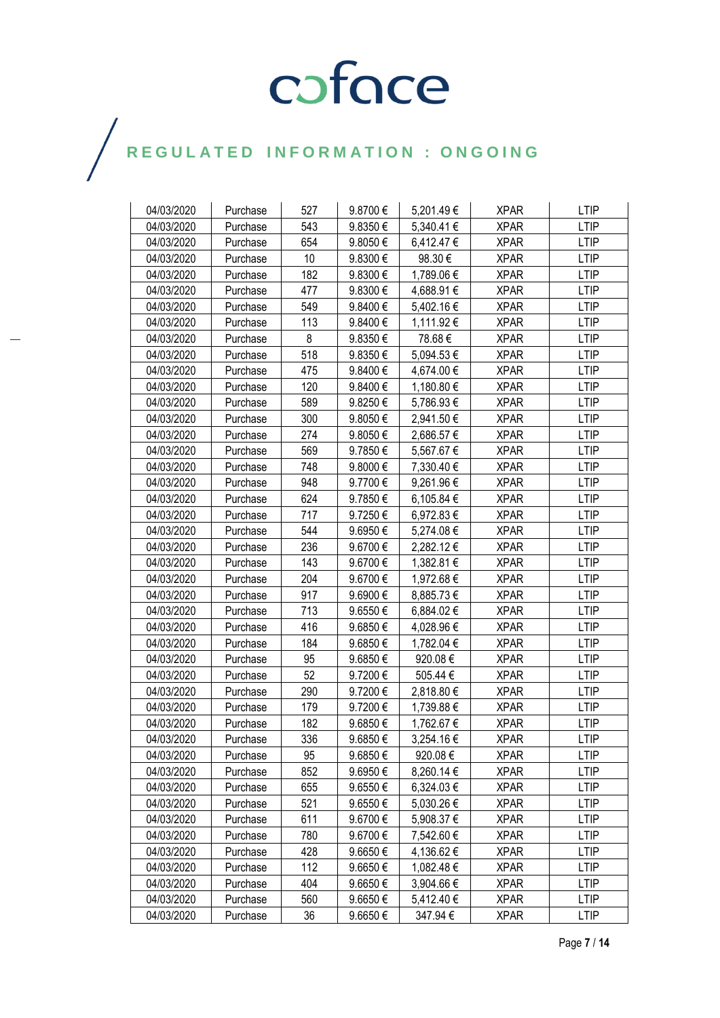| 04/03/2020 | Purchase | 527 | 9.8700€ | 5,201.49€  | <b>XPAR</b> | <b>LTIP</b> |
|------------|----------|-----|---------|------------|-------------|-------------|
| 04/03/2020 | Purchase | 543 | 9.8350€ | 5,340.41 € | <b>XPAR</b> | <b>LTIP</b> |
| 04/03/2020 | Purchase | 654 | 9.8050€ | 6,412.47 € | <b>XPAR</b> | <b>LTIP</b> |
| 04/03/2020 | Purchase | 10  | 9.8300€ | 98.30 €    | <b>XPAR</b> | <b>LTIP</b> |
| 04/03/2020 | Purchase | 182 | 9.8300€ | 1,789.06 € | <b>XPAR</b> | <b>LTIP</b> |
| 04/03/2020 | Purchase | 477 | 9.8300€ | 4,688.91 € | <b>XPAR</b> | <b>LTIP</b> |
| 04/03/2020 | Purchase | 549 | 9.8400€ | 5,402.16 € | <b>XPAR</b> | <b>LTIP</b> |
| 04/03/2020 | Purchase | 113 | 9.8400€ | 1,111.92 € | <b>XPAR</b> | <b>LTIP</b> |
| 04/03/2020 | Purchase | 8   | 9.8350€ | 78.68€     | <b>XPAR</b> | <b>LTIP</b> |
| 04/03/2020 | Purchase | 518 | 9.8350€ | 5,094.53 € | <b>XPAR</b> | <b>LTIP</b> |
| 04/03/2020 | Purchase | 475 | 9.8400€ | 4,674.00 € | <b>XPAR</b> | <b>LTIP</b> |
| 04/03/2020 | Purchase | 120 | 9.8400€ | 1,180.80 € | <b>XPAR</b> | <b>LTIP</b> |
| 04/03/2020 | Purchase | 589 | 9.8250€ | 5,786.93 € | <b>XPAR</b> | <b>LTIP</b> |
| 04/03/2020 | Purchase | 300 | 9.8050€ | 2,941.50 € | <b>XPAR</b> | <b>LTIP</b> |
| 04/03/2020 | Purchase | 274 | 9.8050€ | 2,686.57 € | <b>XPAR</b> | <b>LTIP</b> |
| 04/03/2020 | Purchase | 569 | 9.7850€ | 5,567.67 € | <b>XPAR</b> | <b>LTIP</b> |
| 04/03/2020 | Purchase | 748 | 9.8000€ | 7,330.40 € | <b>XPAR</b> | <b>LTIP</b> |
| 04/03/2020 | Purchase | 948 | 9.7700€ | 9,261.96€  | <b>XPAR</b> | <b>LTIP</b> |
| 04/03/2020 | Purchase | 624 | 9.7850€ | 6,105.84 € | <b>XPAR</b> | <b>LTIP</b> |
| 04/03/2020 | Purchase | 717 | 9.7250€ | 6,972.83 € | <b>XPAR</b> | <b>LTIP</b> |
| 04/03/2020 | Purchase | 544 | 9.6950€ | 5,274.08 € | <b>XPAR</b> | <b>LTIP</b> |
| 04/03/2020 | Purchase | 236 | 9.6700€ | 2,282.12€  | <b>XPAR</b> | <b>LTIP</b> |
| 04/03/2020 | Purchase | 143 | 9.6700€ | 1,382.81 € | <b>XPAR</b> | <b>LTIP</b> |
| 04/03/2020 | Purchase | 204 | 9.6700€ | 1,972.68 € | <b>XPAR</b> | <b>LTIP</b> |
| 04/03/2020 | Purchase | 917 | 9.6900€ | 8,885.73 € | <b>XPAR</b> | <b>LTIP</b> |
| 04/03/2020 | Purchase | 713 | 9.6550€ | 6,884.02 € | <b>XPAR</b> | <b>LTIP</b> |
| 04/03/2020 | Purchase | 416 | 9.6850€ | 4,028.96 € | <b>XPAR</b> | <b>LTIP</b> |
| 04/03/2020 | Purchase | 184 | 9.6850€ | 1,782.04 € | <b>XPAR</b> | <b>LTIP</b> |
| 04/03/2020 | Purchase | 95  | 9.6850€ | 920.08€    | <b>XPAR</b> | <b>LTIP</b> |
| 04/03/2020 | Purchase | 52  | 9.7200€ | 505.44 €   | <b>XPAR</b> | <b>LTIP</b> |
| 04/03/2020 | Purchase | 290 | 9.7200€ | 2,818.80 € | <b>XPAR</b> | <b>LTIP</b> |
| 04/03/2020 | Purchase | 179 | 9.7200€ | 1,739.88 € | <b>XPAR</b> | <b>LTIP</b> |
| 04/03/2020 | Purchase | 182 | 9.6850€ | 1,762.67 € | <b>XPAR</b> | <b>LTIP</b> |
| 04/03/2020 | Purchase | 336 | 9.6850€ | 3,254.16€  | <b>XPAR</b> | <b>LTIP</b> |
| 04/03/2020 | Purchase | 95  | 9.6850€ | 920.08€    | <b>XPAR</b> | <b>LTIP</b> |
| 04/03/2020 | Purchase | 852 | 9.6950€ | 8,260.14 € | <b>XPAR</b> | <b>LTIP</b> |
| 04/03/2020 | Purchase | 655 | 9.6550€ | 6,324.03 € | <b>XPAR</b> | <b>LTIP</b> |
| 04/03/2020 | Purchase | 521 | 9.6550€ | 5,030.26 € | <b>XPAR</b> | <b>LTIP</b> |
| 04/03/2020 | Purchase | 611 | 9.6700€ | 5,908.37 € | <b>XPAR</b> | <b>LTIP</b> |
| 04/03/2020 | Purchase | 780 | 9.6700€ | 7,542.60 € | <b>XPAR</b> | <b>LTIP</b> |
| 04/03/2020 | Purchase | 428 | 9.6650€ | 4,136.62 € | <b>XPAR</b> | <b>LTIP</b> |
| 04/03/2020 | Purchase | 112 | 9.6650€ | 1,082.48 € | <b>XPAR</b> | <b>LTIP</b> |
| 04/03/2020 | Purchase | 404 | 9.6650€ | 3,904.66 € | <b>XPAR</b> | <b>LTIP</b> |
| 04/03/2020 | Purchase | 560 | 9.6650€ | 5,412.40 € | <b>XPAR</b> | <b>LTIP</b> |
| 04/03/2020 | Purchase | 36  | 9.6650€ | 347.94€    | <b>XPAR</b> | <b>LTIP</b> |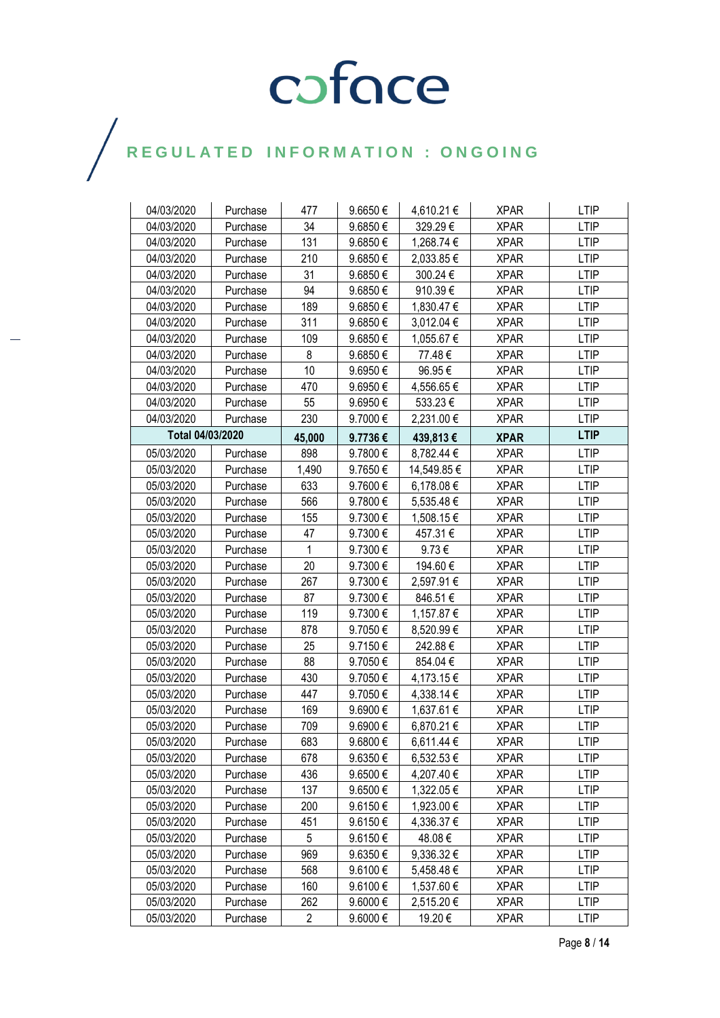| 04/03/2020       | Purchase | 477            | 9.6650€ | 4,610.21 €  | <b>XPAR</b> | <b>LTIP</b> |
|------------------|----------|----------------|---------|-------------|-------------|-------------|
| 04/03/2020       | Purchase | 34             | 9.6850€ | 329.29€     | <b>XPAR</b> | <b>LTIP</b> |
| 04/03/2020       | Purchase | 131            | 9.6850€ | 1,268.74 €  | <b>XPAR</b> | <b>LTIP</b> |
| 04/03/2020       | Purchase | 210            | 9.6850€ | 2,033.85€   | <b>XPAR</b> | <b>LTIP</b> |
| 04/03/2020       | Purchase | 31             | 9.6850€ | 300.24€     | <b>XPAR</b> | <b>LTIP</b> |
| 04/03/2020       | Purchase | 94             | 9.6850€ | 910.39€     | <b>XPAR</b> | <b>LTIP</b> |
| 04/03/2020       | Purchase | 189            | 9.6850€ | 1,830.47 €  | <b>XPAR</b> | <b>LTIP</b> |
| 04/03/2020       | Purchase | 311            | 9.6850€ | 3,012.04 €  | <b>XPAR</b> | <b>LTIP</b> |
| 04/03/2020       | Purchase | 109            | 9.6850€ | 1,055.67 €  | <b>XPAR</b> | <b>LTIP</b> |
| 04/03/2020       | Purchase | 8              | 9.6850€ | 77.48€      | <b>XPAR</b> | <b>LTIP</b> |
| 04/03/2020       | Purchase | 10             | 9.6950€ | 96.95€      | <b>XPAR</b> | <b>LTIP</b> |
| 04/03/2020       | Purchase | 470            | 9.6950€ | 4,556.65€   | <b>XPAR</b> | <b>LTIP</b> |
| 04/03/2020       | Purchase | 55             | 9.6950€ | 533.23€     | <b>XPAR</b> | <b>LTIP</b> |
| 04/03/2020       | Purchase | 230            | 9.7000€ | 2,231.00 €  | <b>XPAR</b> | LTIP        |
| Total 04/03/2020 |          | 45,000         | 9.7736€ | 439,813€    | <b>XPAR</b> | <b>LTIP</b> |
| 05/03/2020       | Purchase | 898            | 9.7800€ | 8,782.44 €  | <b>XPAR</b> | <b>LTIP</b> |
| 05/03/2020       | Purchase | 1,490          | 9.7650€ | 14,549.85 € | <b>XPAR</b> | LTIP        |
| 05/03/2020       | Purchase | 633            | 9.7600€ | 6,178.08€   | <b>XPAR</b> | <b>LTIP</b> |
| 05/03/2020       | Purchase | 566            | 9.7800€ | 5,535.48 €  | <b>XPAR</b> | <b>LTIP</b> |
| 05/03/2020       | Purchase | 155            | 9.7300€ | 1,508.15 €  | <b>XPAR</b> | <b>LTIP</b> |
| 05/03/2020       | Purchase | 47             | 9.7300€ | 457.31€     | <b>XPAR</b> | <b>LTIP</b> |
| 05/03/2020       | Purchase | 1              | 9.7300€ | $9.73 \in$  | <b>XPAR</b> | <b>LTIP</b> |
| 05/03/2020       | Purchase | 20             | 9.7300€ | 194.60€     | <b>XPAR</b> | <b>LTIP</b> |
| 05/03/2020       | Purchase | 267            | 9.7300€ | 2,597.91€   | <b>XPAR</b> | <b>LTIP</b> |
| 05/03/2020       | Purchase | 87             | 9.7300€ | 846.51€     | <b>XPAR</b> | <b>LTIP</b> |
| 05/03/2020       | Purchase | 119            | 9.7300€ | 1,157.87 €  | <b>XPAR</b> | <b>LTIP</b> |
| 05/03/2020       | Purchase | 878            | 9.7050€ | 8,520.99€   | <b>XPAR</b> | <b>LTIP</b> |
| 05/03/2020       | Purchase | 25             | 9.7150€ | 242.88€     | <b>XPAR</b> | <b>LTIP</b> |
| 05/03/2020       | Purchase | 88             | 9.7050€ | 854.04€     | <b>XPAR</b> | <b>LTIP</b> |
| 05/03/2020       | Purchase | 430            | 9.7050€ | 4,173.15 €  | <b>XPAR</b> | <b>LTIP</b> |
| 05/03/2020       | Purchase | 447            | 9.7050€ | 4,338.14 €  | <b>XPAR</b> | <b>LTIP</b> |
| 05/03/2020       | Purchase | 169            | 9.6900€ | 1,637.61 €  | <b>XPAR</b> | <b>LTIP</b> |
| 05/03/2020       | Purchase | 709            | 9.6900€ | 6,870.21€   | <b>XPAR</b> | <b>LTIP</b> |
| 05/03/2020       | Purchase | 683            | 9.6800€ | 6,611.44 €  | <b>XPAR</b> | <b>LTIP</b> |
| 05/03/2020       | Purchase | 678            | 9.6350€ | 6,532.53 €  | <b>XPAR</b> | <b>LTIP</b> |
| 05/03/2020       | Purchase | 436            | 9.6500€ | 4,207.40 €  | <b>XPAR</b> | <b>LTIP</b> |
| 05/03/2020       | Purchase | 137            | 9.6500€ | 1,322.05 €  | <b>XPAR</b> | <b>LTIP</b> |
| 05/03/2020       | Purchase | 200            | 9.6150€ | 1,923.00 €  | <b>XPAR</b> | <b>LTIP</b> |
| 05/03/2020       | Purchase | 451            | 9.6150€ | 4,336.37 €  | <b>XPAR</b> | <b>LTIP</b> |
| 05/03/2020       | Purchase | 5              | 9.6150€ | 48.08€      | <b>XPAR</b> | <b>LTIP</b> |
| 05/03/2020       | Purchase | 969            | 9.6350€ | 9,336.32€   | <b>XPAR</b> | <b>LTIP</b> |
| 05/03/2020       | Purchase | 568            | 9.6100€ | 5,458.48 €  | <b>XPAR</b> | <b>LTIP</b> |
| 05/03/2020       | Purchase | 160            | 9.6100€ | 1,537.60 €  | <b>XPAR</b> | <b>LTIP</b> |
| 05/03/2020       | Purchase | 262            | 9.6000€ | 2,515.20 €  | <b>XPAR</b> | LTIP        |
| 05/03/2020       | Purchase | $\overline{c}$ | 9.6000€ | 19.20 €     | <b>XPAR</b> | <b>LTIP</b> |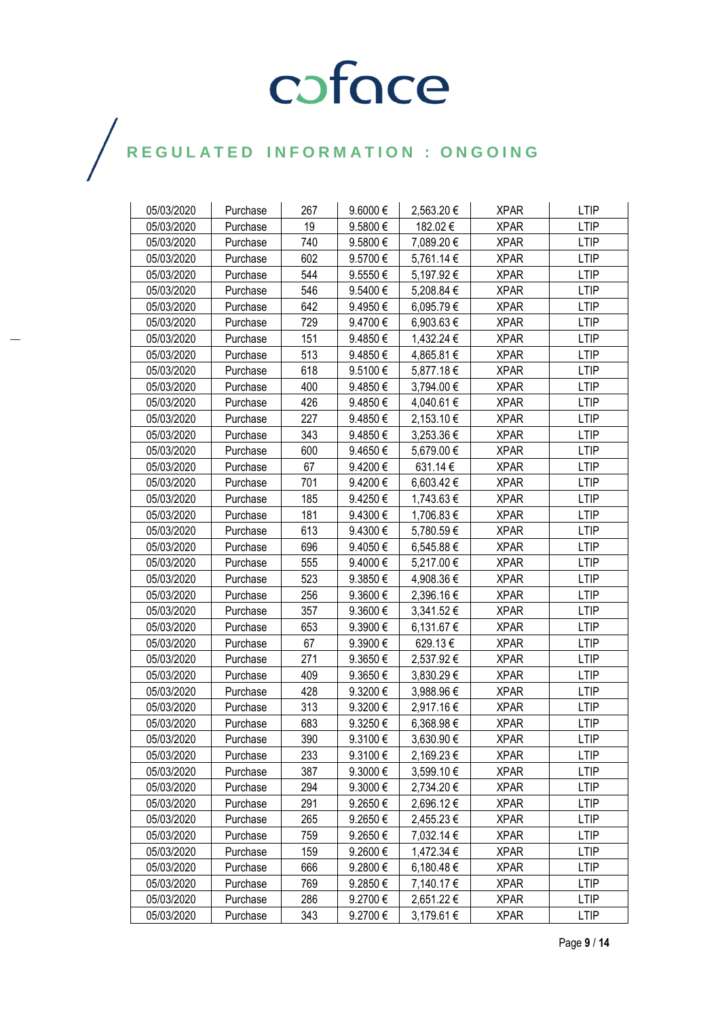| 05/03/2020 | Purchase | 267 | 9.6000€      | 2,563.20€  | <b>XPAR</b> | <b>LTIP</b> |
|------------|----------|-----|--------------|------------|-------------|-------------|
| 05/03/2020 | Purchase | 19  | 9.5800€      | 182.02€    | <b>XPAR</b> | <b>LTIP</b> |
| 05/03/2020 | Purchase | 740 | 9.5800€      | 7,089.20 € | <b>XPAR</b> | <b>LTIP</b> |
| 05/03/2020 | Purchase | 602 | 9.5700€      | 5,761.14 € | <b>XPAR</b> | <b>LTIP</b> |
| 05/03/2020 | Purchase | 544 | 9.5550€      | 5,197.92 € | <b>XPAR</b> | <b>LTIP</b> |
| 05/03/2020 | Purchase | 546 | 9.5400€      | 5,208.84 € | <b>XPAR</b> | <b>LTIP</b> |
| 05/03/2020 | Purchase | 642 | 9.4950€      | 6,095.79€  | <b>XPAR</b> | <b>LTIP</b> |
| 05/03/2020 | Purchase | 729 | 9.4700€      | 6,903.63 € | <b>XPAR</b> | <b>LTIP</b> |
| 05/03/2020 | Purchase | 151 | 9.4850€      | 1,432.24 € | <b>XPAR</b> | <b>LTIP</b> |
| 05/03/2020 | Purchase | 513 | 9.4850€      | 4,865.81 € | <b>XPAR</b> | <b>LTIP</b> |
| 05/03/2020 | Purchase | 618 | 9.5100€      | 5,877.18€  | <b>XPAR</b> | <b>LTIP</b> |
| 05/03/2020 | Purchase | 400 | 9.4850€      | 3,794.00 € | <b>XPAR</b> | <b>LTIP</b> |
| 05/03/2020 | Purchase | 426 | 9.4850€      | 4,040.61 € | <b>XPAR</b> | <b>LTIP</b> |
| 05/03/2020 | Purchase | 227 | 9.4850€      | 2,153.10 € | <b>XPAR</b> | <b>LTIP</b> |
| 05/03/2020 | Purchase | 343 | 9.4850€      | 3,253.36 € | <b>XPAR</b> | <b>LTIP</b> |
| 05/03/2020 | Purchase | 600 | 9.4650€      | 5,679.00 € | <b>XPAR</b> | <b>LTIP</b> |
| 05/03/2020 | Purchase | 67  | 9.4200€      | 631.14€    | <b>XPAR</b> | <b>LTIP</b> |
| 05/03/2020 | Purchase | 701 | 9.4200€      | 6,603.42€  | <b>XPAR</b> | <b>LTIP</b> |
| 05/03/2020 | Purchase | 185 | 9.4250€      | 1,743.63 € | <b>XPAR</b> | <b>LTIP</b> |
| 05/03/2020 | Purchase | 181 | 9.4300€      | 1,706.83 € | <b>XPAR</b> | <b>LTIP</b> |
| 05/03/2020 | Purchase | 613 | 9.4300€      | 5,780.59€  | <b>XPAR</b> | <b>LTIP</b> |
| 05/03/2020 | Purchase | 696 | 9.4050€      | 6,545.88 € | <b>XPAR</b> | <b>LTIP</b> |
| 05/03/2020 | Purchase | 555 | 9.4000€      | 5,217.00 € | <b>XPAR</b> | <b>LTIP</b> |
| 05/03/2020 | Purchase | 523 | 9.3850€      | 4,908.36 € | <b>XPAR</b> | <b>LTIP</b> |
| 05/03/2020 | Purchase | 256 | 9.3600€      | 2,396.16 € | <b>XPAR</b> | <b>LTIP</b> |
| 05/03/2020 | Purchase | 357 | 9.3600€      | 3,341.52 € | <b>XPAR</b> | <b>LTIP</b> |
| 05/03/2020 | Purchase | 653 | 9.3900€      | 6,131.67 € | <b>XPAR</b> | <b>LTIP</b> |
| 05/03/2020 | Purchase | 67  | 9.3900€      | 629.13€    | <b>XPAR</b> | <b>LTIP</b> |
| 05/03/2020 | Purchase | 271 | 9.3650€      | 2,537.92€  | <b>XPAR</b> | <b>LTIP</b> |
| 05/03/2020 | Purchase | 409 | 9.3650 $\in$ | 3,830.29 € | <b>XPAR</b> | <b>LTIP</b> |
| 05/03/2020 | Purchase | 428 | 9.3200€      | 3,988.96€  | <b>XPAR</b> | <b>LTIP</b> |
| 05/03/2020 | Purchase | 313 | 9.3200€      | 2,917.16€  | <b>XPAR</b> | <b>LTIP</b> |
| 05/03/2020 | Purchase | 683 | 9.3250€      | 6,368.98€  | <b>XPAR</b> | <b>LTIP</b> |
| 05/03/2020 | Purchase | 390 | 9.3100€      | 3,630.90 € | <b>XPAR</b> | <b>LTIP</b> |
| 05/03/2020 | Purchase | 233 | 9.3100€      | 2,169.23 € | <b>XPAR</b> | <b>LTIP</b> |
| 05/03/2020 | Purchase | 387 | $9.3000 \in$ | 3,599.10 € | <b>XPAR</b> | <b>LTIP</b> |
| 05/03/2020 | Purchase | 294 | 9.3000€      | 2,734.20 € | <b>XPAR</b> | <b>LTIP</b> |
| 05/03/2020 | Purchase | 291 | 9.2650€      | 2,696.12€  | <b>XPAR</b> | <b>LTIP</b> |
| 05/03/2020 | Purchase | 265 | 9.2650€      | 2,455.23 € | <b>XPAR</b> | <b>LTIP</b> |
| 05/03/2020 | Purchase | 759 | 9.2650€      | 7,032.14 € | <b>XPAR</b> | <b>LTIP</b> |
| 05/03/2020 | Purchase | 159 | 9.2600€      | 1,472.34 € | <b>XPAR</b> | <b>LTIP</b> |
| 05/03/2020 | Purchase | 666 | 9.2800€      | 6,180.48 € | <b>XPAR</b> | <b>LTIP</b> |
| 05/03/2020 | Purchase | 769 | 9.2850€      | 7,140.17 € | <b>XPAR</b> | <b>LTIP</b> |
| 05/03/2020 | Purchase | 286 | 9.2700€      | 2,651.22 € | <b>XPAR</b> | <b>LTIP</b> |
| 05/03/2020 | Purchase | 343 | 9.2700€      | 3,179.61 € | <b>XPAR</b> | <b>LTIP</b> |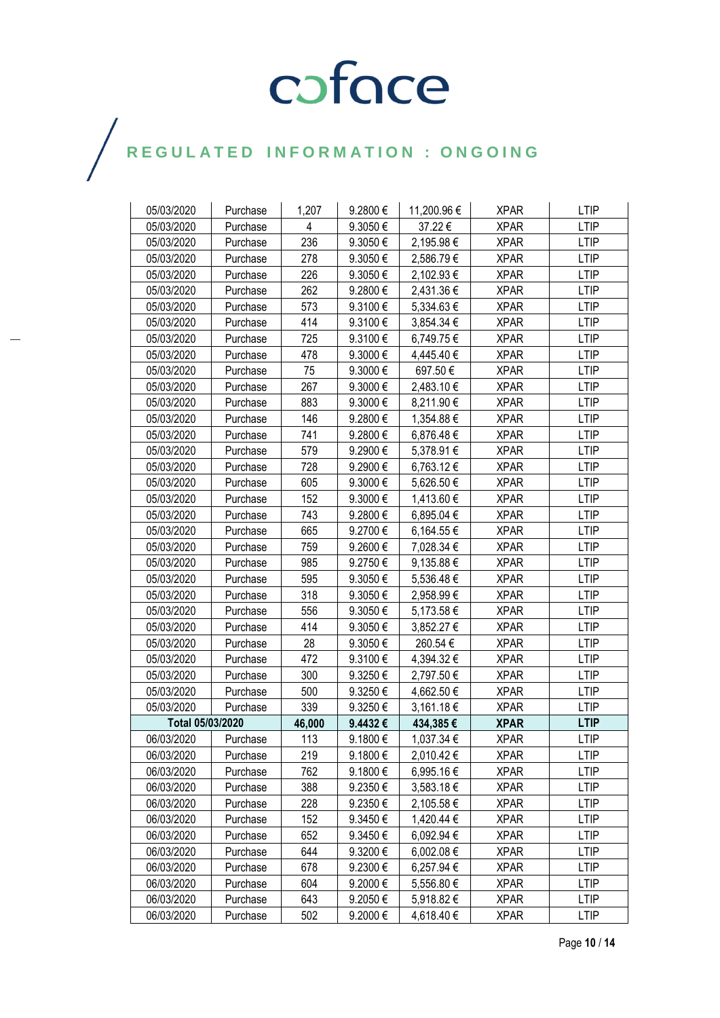| 05/03/2020       | Purchase | 1,207  | 9.2800€ | 11,200.96 € | <b>XPAR</b> | <b>LTIP</b> |
|------------------|----------|--------|---------|-------------|-------------|-------------|
| 05/03/2020       | Purchase | 4      | 9.3050€ | 37.22€      | <b>XPAR</b> | <b>LTIP</b> |
| 05/03/2020       | Purchase | 236    | 9.3050€ | 2,195.98€   | <b>XPAR</b> | <b>LTIP</b> |
| 05/03/2020       | Purchase | 278    | 9.3050€ | 2,586.79€   | <b>XPAR</b> | <b>LTIP</b> |
| 05/03/2020       | Purchase | 226    | 9.3050€ | 2,102.93 €  | <b>XPAR</b> | <b>LTIP</b> |
| 05/03/2020       | Purchase | 262    | 9.2800€ | 2,431.36 €  | <b>XPAR</b> | <b>LTIP</b> |
| 05/03/2020       | Purchase | 573    | 9.3100€ | 5,334.63 €  | <b>XPAR</b> | <b>LTIP</b> |
| 05/03/2020       | Purchase | 414    | 9.3100€ | 3,854.34 €  | <b>XPAR</b> | <b>LTIP</b> |
| 05/03/2020       | Purchase | 725    | 9.3100€ | 6,749.75 €  | <b>XPAR</b> | <b>LTIP</b> |
| 05/03/2020       | Purchase | 478    | 9.3000€ | 4,445.40 €  | <b>XPAR</b> | <b>LTIP</b> |
| 05/03/2020       | Purchase | 75     | 9.3000€ | 697.50€     | <b>XPAR</b> | <b>LTIP</b> |
| 05/03/2020       | Purchase | 267    | 9.3000€ | 2,483.10 €  | <b>XPAR</b> | <b>LTIP</b> |
| 05/03/2020       | Purchase | 883    | 9.3000€ | 8,211.90 €  | <b>XPAR</b> | <b>LTIP</b> |
| 05/03/2020       | Purchase | 146    | 9.2800€ | 1,354.88 €  | <b>XPAR</b> | <b>LTIP</b> |
| 05/03/2020       | Purchase | 741    | 9.2800€ | 6,876.48€   | <b>XPAR</b> | <b>LTIP</b> |
| 05/03/2020       | Purchase | 579    | 9.2900€ | 5,378.91 €  | <b>XPAR</b> | <b>LTIP</b> |
| 05/03/2020       | Purchase | 728    | 9.2900€ | 6,763.12 €  | <b>XPAR</b> | <b>LTIP</b> |
| 05/03/2020       | Purchase | 605    | 9.3000€ | 5,626.50 €  | <b>XPAR</b> | <b>LTIP</b> |
| 05/03/2020       | Purchase | 152    | 9.3000€ | 1,413.60 €  | <b>XPAR</b> | <b>LTIP</b> |
| 05/03/2020       | Purchase | 743    | 9.2800€ | 6,895.04 €  | <b>XPAR</b> | <b>LTIP</b> |
| 05/03/2020       | Purchase | 665    | 9.2700€ | 6,164.55 €  | <b>XPAR</b> | <b>LTIP</b> |
| 05/03/2020       | Purchase | 759    | 9.2600€ | 7,028.34 €  | <b>XPAR</b> | <b>LTIP</b> |
| 05/03/2020       | Purchase | 985    | 9.2750€ | 9,135.88 €  | <b>XPAR</b> | <b>LTIP</b> |
| 05/03/2020       | Purchase | 595    | 9.3050€ | 5,536.48€   | <b>XPAR</b> | <b>LTIP</b> |
| 05/03/2020       | Purchase | 318    | 9.3050€ | 2,958.99 €  | <b>XPAR</b> | <b>LTIP</b> |
| 05/03/2020       | Purchase | 556    | 9.3050€ | 5,173.58 €  | <b>XPAR</b> | <b>LTIP</b> |
| 05/03/2020       | Purchase | 414    | 9.3050€ | 3,852.27 €  | <b>XPAR</b> | <b>LTIP</b> |
| 05/03/2020       | Purchase | 28     | 9.3050€ | 260.54€     | <b>XPAR</b> | <b>LTIP</b> |
| 05/03/2020       | Purchase | 472    | 9.3100€ | 4,394.32 €  | <b>XPAR</b> | <b>LTIP</b> |
| 05/03/2020       | Purchase | 300    | 9.3250€ | 2,797.50€   | <b>XPAR</b> | <b>LTIP</b> |
| 05/03/2020       | Purchase | 500    | 9.3250€ | 4,662.50 €  | <b>XPAR</b> | <b>LTIP</b> |
| 05/03/2020       | Purchase | 339    | 9.3250€ | 3,161.18 €  | <b>XPAR</b> | <b>LTIP</b> |
| Total 05/03/2020 |          | 46,000 | 9.4432€ | 434,385€    | <b>XPAR</b> | <b>LTIP</b> |
| 06/03/2020       | Purchase | 113    | 9.1800€ | 1,037.34 €  | <b>XPAR</b> | <b>LTIP</b> |
| 06/03/2020       | Purchase | 219    | 9.1800€ | 2,010.42 €  | <b>XPAR</b> | <b>LTIP</b> |
| 06/03/2020       | Purchase | 762    | 9.1800€ | 6,995.16 €  | <b>XPAR</b> | LTIP        |
| 06/03/2020       | Purchase | 388    | 9.2350€ | 3,583.18 €  | <b>XPAR</b> | <b>LTIP</b> |
| 06/03/2020       | Purchase | 228    | 9.2350€ | 2,105.58€   | <b>XPAR</b> | <b>LTIP</b> |
| 06/03/2020       | Purchase | 152    | 9.3450€ | 1,420.44 €  | <b>XPAR</b> | <b>LTIP</b> |
| 06/03/2020       | Purchase | 652    | 9.3450€ | 6,092.94 €  | <b>XPAR</b> | <b>LTIP</b> |
| 06/03/2020       | Purchase | 644    | 9.3200€ | 6,002.08 €  | <b>XPAR</b> | <b>LTIP</b> |
| 06/03/2020       | Purchase | 678    | 9.2300€ | 6,257.94 €  | <b>XPAR</b> | <b>LTIP</b> |
| 06/03/2020       | Purchase | 604    | 9.2000€ | 5,556.80 €  | <b>XPAR</b> | <b>LTIP</b> |
| 06/03/2020       | Purchase | 643    | 9.2050€ | 5,918.82 €  | <b>XPAR</b> | <b>LTIP</b> |
| 06/03/2020       | Purchase | 502    | 9.2000€ | 4,618.40 €  | <b>XPAR</b> | <b>LTIP</b> |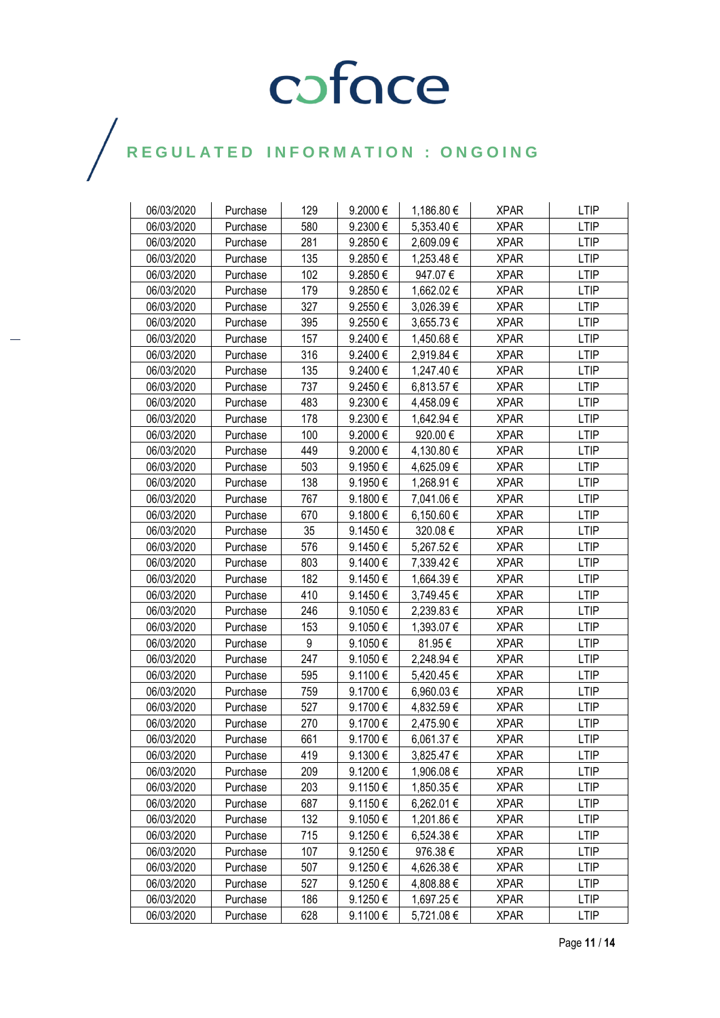| 06/03/2020 | Purchase | 129 | 9.2000€ | 1,186.80 € | <b>XPAR</b> | <b>LTIP</b> |
|------------|----------|-----|---------|------------|-------------|-------------|
| 06/03/2020 | Purchase | 580 | 9.2300€ | 5,353.40 € | <b>XPAR</b> | <b>LTIP</b> |
| 06/03/2020 | Purchase | 281 | 9.2850€ | 2,609.09€  | <b>XPAR</b> | <b>LTIP</b> |
| 06/03/2020 | Purchase | 135 | 9.2850€ | 1,253.48 € | <b>XPAR</b> | <b>LTIP</b> |
| 06/03/2020 | Purchase | 102 | 9.2850€ | 947.07€    | <b>XPAR</b> | <b>LTIP</b> |
| 06/03/2020 | Purchase | 179 | 9.2850€ | 1,662.02 € | <b>XPAR</b> | <b>LTIP</b> |
| 06/03/2020 | Purchase | 327 | 9.2550€ | 3,026.39 € | <b>XPAR</b> | <b>LTIP</b> |
| 06/03/2020 | Purchase | 395 | 9.2550€ | 3,655.73 € | <b>XPAR</b> | <b>LTIP</b> |
| 06/03/2020 | Purchase | 157 | 9.2400€ | 1,450.68 € | <b>XPAR</b> | <b>LTIP</b> |
| 06/03/2020 | Purchase | 316 | 9.2400€ | 2,919.84 € | <b>XPAR</b> | <b>LTIP</b> |
| 06/03/2020 | Purchase | 135 | 9.2400€ | 1,247.40 € | <b>XPAR</b> | <b>LTIP</b> |
| 06/03/2020 | Purchase | 737 | 9.2450€ | 6,813.57 € | <b>XPAR</b> | <b>LTIP</b> |
| 06/03/2020 | Purchase | 483 | 9.2300€ | 4,458.09 € | <b>XPAR</b> | <b>LTIP</b> |
| 06/03/2020 | Purchase | 178 | 9.2300€ | 1,642.94 € | <b>XPAR</b> | <b>LTIP</b> |
| 06/03/2020 | Purchase | 100 | 9.2000€ | 920.00€    | <b>XPAR</b> | <b>LTIP</b> |
| 06/03/2020 | Purchase | 449 | 9.2000€ | 4,130.80 € | <b>XPAR</b> | <b>LTIP</b> |
| 06/03/2020 | Purchase | 503 | 9.1950€ | 4,625.09 € | <b>XPAR</b> | <b>LTIP</b> |
| 06/03/2020 | Purchase | 138 | 9.1950€ | 1,268.91 € | <b>XPAR</b> | <b>LTIP</b> |
| 06/03/2020 | Purchase | 767 | 9.1800€ | 7,041.06 € | <b>XPAR</b> | <b>LTIP</b> |
| 06/03/2020 | Purchase | 670 | 9.1800€ | 6,150.60 € | <b>XPAR</b> | <b>LTIP</b> |
| 06/03/2020 | Purchase | 35  | 9.1450€ | 320.08€    | <b>XPAR</b> | <b>LTIP</b> |
| 06/03/2020 | Purchase | 576 | 9.1450€ | 5,267.52 € | <b>XPAR</b> | <b>LTIP</b> |
| 06/03/2020 | Purchase | 803 | 9.1400€ | 7,339.42 € | <b>XPAR</b> | <b>LTIP</b> |
| 06/03/2020 | Purchase | 182 | 9.1450€ | 1,664.39 € | <b>XPAR</b> | <b>LTIP</b> |
| 06/03/2020 | Purchase | 410 | 9.1450€ | 3,749.45 € | <b>XPAR</b> | <b>LTIP</b> |
| 06/03/2020 | Purchase | 246 | 9.1050€ | 2,239.83 € | <b>XPAR</b> | LTIP        |
| 06/03/2020 | Purchase | 153 | 9.1050€ | 1,393.07 € | <b>XPAR</b> | <b>LTIP</b> |
| 06/03/2020 | Purchase | 9   | 9.1050€ | 81.95€     | <b>XPAR</b> | <b>LTIP</b> |
| 06/03/2020 | Purchase | 247 | 9.1050€ | 2,248.94 € | <b>XPAR</b> | <b>LTIP</b> |
| 06/03/2020 | Purchase | 595 | 9.1100€ | 5,420.45 € | <b>XPAR</b> | <b>LTIP</b> |
| 06/03/2020 | Purchase | 759 | 9.1700€ | 6,960.03 € | <b>XPAR</b> | LTIP        |
| 06/03/2020 | Purchase | 527 | 9.1700€ | 4,832.59 € | <b>XPAR</b> | <b>LTIP</b> |
| 06/03/2020 | Purchase | 270 | 9.1700€ | 2,475.90 € | <b>XPAR</b> | <b>LTIP</b> |
| 06/03/2020 | Purchase | 661 | 9.1700€ | 6,061.37 € | <b>XPAR</b> | <b>LTIP</b> |
| 06/03/2020 | Purchase | 419 | 9.1300€ | 3,825.47 € | <b>XPAR</b> | <b>LTIP</b> |
| 06/03/2020 | Purchase | 209 | 9.1200€ | 1,906.08 € | <b>XPAR</b> | <b>LTIP</b> |
| 06/03/2020 | Purchase | 203 | 9.1150€ | 1,850.35 € | <b>XPAR</b> | <b>LTIP</b> |
| 06/03/2020 | Purchase | 687 | 9.1150€ | 6,262.01 € | <b>XPAR</b> | <b>LTIP</b> |
| 06/03/2020 | Purchase | 132 | 9.1050€ | 1,201.86 € | <b>XPAR</b> | <b>LTIP</b> |
| 06/03/2020 | Purchase | 715 | 9.1250€ | 6,524.38 € | <b>XPAR</b> | <b>LTIP</b> |
| 06/03/2020 | Purchase | 107 | 9.1250€ | 976.38€    | <b>XPAR</b> | <b>LTIP</b> |
| 06/03/2020 | Purchase | 507 | 9.1250€ | 4,626.38 € | <b>XPAR</b> | <b>LTIP</b> |
| 06/03/2020 | Purchase | 527 | 9.1250€ | 4,808.88 € | <b>XPAR</b> | <b>LTIP</b> |
| 06/03/2020 | Purchase | 186 | 9.1250€ | 1,697.25 € | <b>XPAR</b> | <b>LTIP</b> |
| 06/03/2020 | Purchase | 628 | 9.1100€ | 5,721.08 € | <b>XPAR</b> | LTIP        |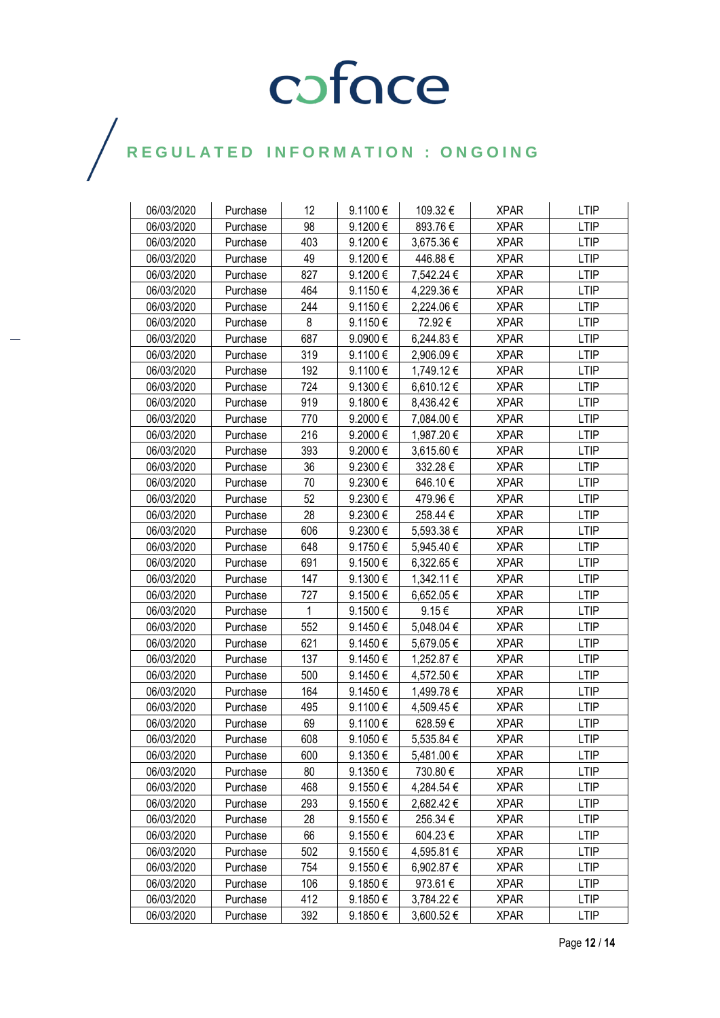| 06/03/2020 | Purchase | 12  | 9.1100€      | 109.32€        | <b>XPAR</b> | <b>LTIP</b> |
|------------|----------|-----|--------------|----------------|-------------|-------------|
| 06/03/2020 | Purchase | 98  | 9.1200€      | 893.76€        | <b>XPAR</b> | <b>LTIP</b> |
| 06/03/2020 | Purchase | 403 | 9.1200€      | 3,675.36 €     | <b>XPAR</b> | <b>LTIP</b> |
| 06/03/2020 | Purchase | 49  | 9.1200€      | 446.88€        | <b>XPAR</b> | <b>LTIP</b> |
| 06/03/2020 | Purchase | 827 | 9.1200€      | 7,542.24 €     | <b>XPAR</b> | <b>LTIP</b> |
| 06/03/2020 | Purchase | 464 | 9.1150€      | 4,229.36 €     | <b>XPAR</b> | <b>LTIP</b> |
| 06/03/2020 | Purchase | 244 | 9.1150€      | 2,224.06 €     | <b>XPAR</b> | <b>LTIP</b> |
| 06/03/2020 | Purchase | 8   | 9.1150€      | 72.92€         | <b>XPAR</b> | <b>LTIP</b> |
| 06/03/2020 | Purchase | 687 | 9.0900€      | 6,244.83 €     | <b>XPAR</b> | <b>LTIP</b> |
| 06/03/2020 | Purchase | 319 | 9.1100€      | 2,906.09€      | <b>XPAR</b> | <b>LTIP</b> |
| 06/03/2020 | Purchase | 192 | 9.1100€      | 1,749.12 €     | <b>XPAR</b> | <b>LTIP</b> |
| 06/03/2020 | Purchase | 724 | 9.1300€      | 6,610.12€      | <b>XPAR</b> | <b>LTIP</b> |
| 06/03/2020 | Purchase | 919 | 9.1800€      | 8,436.42 €     | <b>XPAR</b> | <b>LTIP</b> |
| 06/03/2020 | Purchase | 770 | 9.2000€      | 7,084.00 €     | <b>XPAR</b> | <b>LTIP</b> |
| 06/03/2020 | Purchase | 216 | 9.2000€      | 1,987.20 €     | <b>XPAR</b> | <b>LTIP</b> |
| 06/03/2020 | Purchase | 393 | 9.2000€      | 3,615.60 €     | <b>XPAR</b> | <b>LTIP</b> |
| 06/03/2020 | Purchase | 36  | 9.2300€      | 332.28€        | <b>XPAR</b> | <b>LTIP</b> |
| 06/03/2020 | Purchase | 70  | 9.2300€      | 646.10€        | <b>XPAR</b> | <b>LTIP</b> |
| 06/03/2020 | Purchase | 52  | 9.2300€      | 479.96€        | <b>XPAR</b> | <b>LTIP</b> |
| 06/03/2020 | Purchase | 28  | 9.2300€      | 258.44 €       | <b>XPAR</b> | <b>LTIP</b> |
| 06/03/2020 | Purchase | 606 | 9.2300€      | 5,593.38 €     | <b>XPAR</b> | <b>LTIP</b> |
| 06/03/2020 | Purchase | 648 | 9.1750€      | 5,945.40 €     | <b>XPAR</b> | <b>LTIP</b> |
| 06/03/2020 | Purchase | 691 | 9.1500€      | 6,322.65 €     | <b>XPAR</b> | <b>LTIP</b> |
| 06/03/2020 | Purchase | 147 | 9.1300€      | 1,342.11 €     | <b>XPAR</b> | <b>LTIP</b> |
| 06/03/2020 | Purchase | 727 | 9.1500€      | 6,652.05 €     | <b>XPAR</b> | <b>LTIP</b> |
| 06/03/2020 | Purchase | 1   | 9.1500€      | 9.15€          | <b>XPAR</b> | <b>LTIP</b> |
| 06/03/2020 | Purchase | 552 | 9.1450€      | 5,048.04 €     | <b>XPAR</b> | <b>LTIP</b> |
| 06/03/2020 | Purchase | 621 | 9.1450€      | 5,679.05 €     | <b>XPAR</b> | <b>LTIP</b> |
| 06/03/2020 | Purchase | 137 | 9.1450€      | 1,252.87 €     | <b>XPAR</b> | <b>LTIP</b> |
| 06/03/2020 | Purchase | 500 | 9.1450€      | 4,572.50€      | <b>XPAR</b> | <b>LTIP</b> |
| 06/03/2020 | Purchase | 164 | 9.1450€      | 1,499.78 €     | <b>XPAR</b> | <b>LTIP</b> |
| 06/03/2020 | Purchase | 495 | 9.1100€      | 4,509.45 €     | <b>XPAR</b> | <b>LTIP</b> |
| 06/03/2020 | Purchase | 69  | 9.1100€      | 628.59€        | <b>XPAR</b> | <b>LTIP</b> |
| 06/03/2020 | Purchase | 608 | 9.1050€      | 5,535.84 €     | <b>XPAR</b> | <b>LTIP</b> |
| 06/03/2020 | Purchase | 600 | 9.1350€      | 5,481.00 €     | <b>XPAR</b> | <b>LTIP</b> |
| 06/03/2020 | Purchase | 80  | $9.1350 \in$ | 730.80€        | <b>XPAR</b> | <b>LTIP</b> |
| 06/03/2020 | Purchase | 468 | 9.1550€      | 4,284.54 €     | <b>XPAR</b> | <b>LTIP</b> |
| 06/03/2020 | Purchase | 293 | 9.1550€      | 2,682.42 €     | <b>XPAR</b> | <b>LTIP</b> |
| 06/03/2020 | Purchase | 28  | 9.1550€      | 256.34 €       | <b>XPAR</b> | <b>LTIP</b> |
| 06/03/2020 | Purchase | 66  | 9.1550€      | 604.23€        | <b>XPAR</b> | <b>LTIP</b> |
| 06/03/2020 | Purchase | 502 | 9.1550€      | 4,595.81 €     | <b>XPAR</b> | <b>LTIP</b> |
| 06/03/2020 | Purchase | 754 | 9.1550€      | 6,902.87 €     | <b>XPAR</b> | <b>LTIP</b> |
| 06/03/2020 | Purchase | 106 | 9.1850€      | 973.61€        | <b>XPAR</b> | <b>LTIP</b> |
| 06/03/2020 | Purchase | 412 | 9.1850€      | 3,784.22 €     | <b>XPAR</b> | <b>LTIP</b> |
| 06/03/2020 | Purchase | 392 | 9.1850€      | $3,600.52 \in$ | <b>XPAR</b> | <b>LTIP</b> |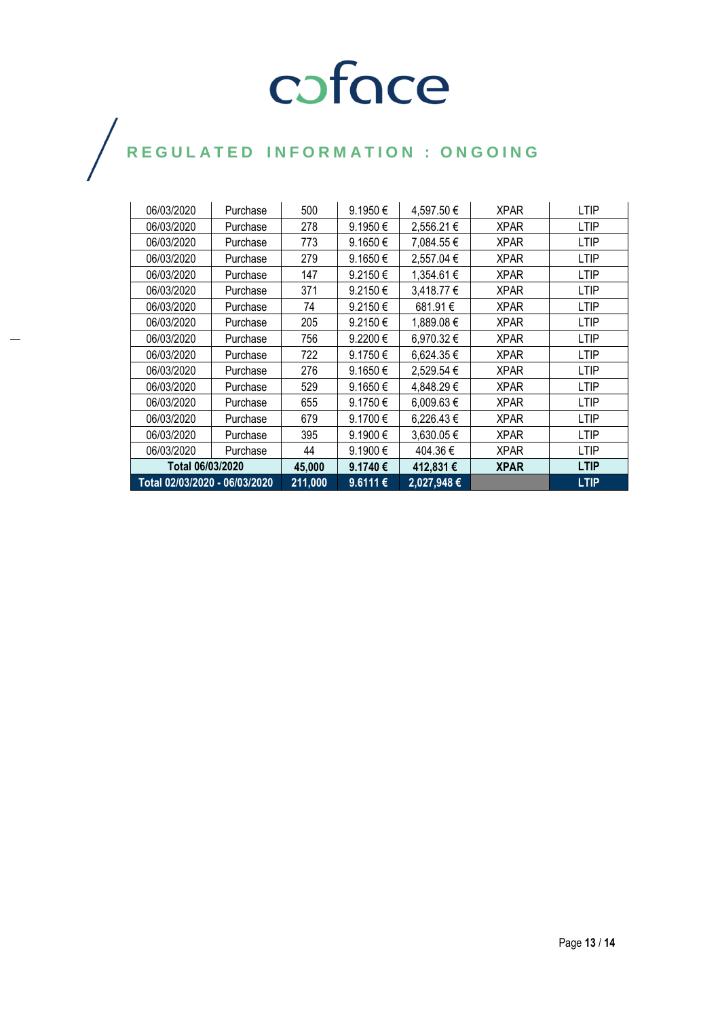| Total 02/03/2020 - 06/03/2020 |  |          | 211,000 | 9.6111€      | 2,027,948€ |             | <b>LTIP</b> |
|-------------------------------|--|----------|---------|--------------|------------|-------------|-------------|
| Total 06/03/2020              |  |          | 45,000  | 9.1740€      | 412,831€   | <b>XPAR</b> | <b>LTIP</b> |
| 06/03/2020                    |  | Purchase | 44      | $9.1900 \in$ | 404.36 €   | <b>XPAR</b> | LTIP        |
| 06/03/2020                    |  | Purchase | 395     | 9.1900€      | 3,630.05 € | <b>XPAR</b> | LTIP        |
| 06/03/2020                    |  | Purchase | 679     | 9.1700€      | 6,226.43 € | <b>XPAR</b> | LTIP        |
| 06/03/2020                    |  | Purchase | 655     | 9.1750€      | 6,009.63€  | <b>XPAR</b> | LTIP        |
| 06/03/2020                    |  | Purchase | 529     | $9.1650 \in$ | 4,848.29 € | <b>XPAR</b> | LTIP        |
| 06/03/2020                    |  | Purchase | 276     | $9.1650 \in$ | 2,529.54 € | <b>XPAR</b> | <b>LTIP</b> |
| 06/03/2020                    |  | Purchase | 722     | $9.1750 \in$ | 6,624.35 € | <b>XPAR</b> | <b>LTIP</b> |
| 06/03/2020                    |  | Purchase | 756     | 9.2200€      | 6,970.32 € | <b>XPAR</b> | <b>LTIP</b> |
| 06/03/2020                    |  | Purchase | 205     | 9.2150€      | 1,889.08€  | <b>XPAR</b> | <b>LTIP</b> |
| 06/03/2020                    |  | Purchase | 74      | 9.2150€      | 681.91€    | <b>XPAR</b> | <b>LTIP</b> |
| 06/03/2020                    |  | Purchase | 371     | 9.2150€      | 3,418.77 € | <b>XPAR</b> | <b>LTIP</b> |
| 06/03/2020                    |  | Purchase | 147     | 9.2150€      | 1,354.61 € | <b>XPAR</b> | <b>LTIP</b> |
| 06/03/2020                    |  | Purchase | 279     | $9.1650 \in$ | 2,557.04 € | <b>XPAR</b> | <b>LTIP</b> |
| 06/03/2020                    |  | Purchase | 773     | $9.1650 \in$ | 7,084.55 € | <b>XPAR</b> | LTIP        |
| 06/03/2020                    |  | Purchase | 278     | $9.1950 \in$ | 2,556.21 € | <b>XPAR</b> | LTIP        |
| 06/03/2020                    |  | Purchase | 500     | 9.1950€      | 4,597.50€  | <b>XPAR</b> | LTIP        |